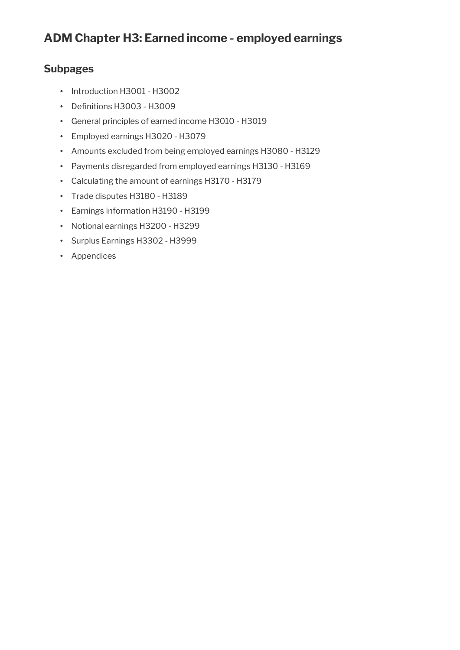# **Subpages**

- Introduction H3001 H3002
- Definitions H3003 H3009
- General principles of earned income H3010 H3019
- Employed earnings H3020 H3079
- Amounts excluded from being employed earnings H3080 H3129
- Payments disregarded from employed earnings H3130 H3169
- Calculating the amount of earnings H3170 H3179
- Trade disputes H3180 H3189
- Earnings information H3190 H3199
- Notional earnings H3200 H3299
- Surplus Earnings H3302 H3999
- Appendices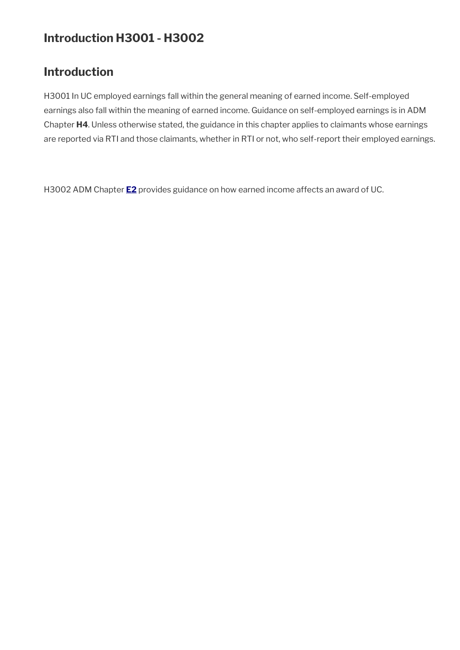# **Introduction H3001 - H3002**

# **Introduction**

H3001 In UC employed earnings fall within the general meaning of earned income. Self-employed earnings also fall within the meaning of earned income. Guidance on self-employed earnings is in ADM Chapter **H4**. Unless otherwise stated, the guidance in this chapter applies to claimants whose earnings are reported via RTI and those claimants, whether in RTI or not, who self-report their employed earnings.

H3002 ADM Chapter **[E2](https://intranet.dwp.gov.uk/manual/advice-decision-making-adm/adm-chapter-e2-benefit-unit-awards-and-maximum-amount)** provides guidance on how earned income affects an award of UC.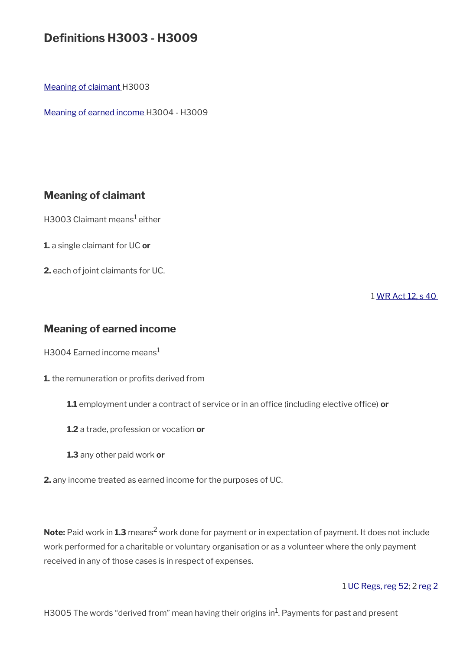# **Defnitions H3003 - H3009**

[Meaning of claimant](#page-2-1) H3003

[Meaning of earned income](#page-2-0) H3004 - H3009

# <span id="page-2-1"></span>**Meaning of claimant**

H3003 Claimant means<sup>1</sup> either

**1.** a single claimant for UC **or**

**2.** each of joint claimants for UC.

1 [WR Act 12, s 40](http://www.legislation.gov.uk/ukpga/2012/5/section/40) 

# <span id="page-2-0"></span>**Meaning of earned income**

H3004 Earned income means $1$ 

- **1.** the remuneration or profits derived from
	- **1.1** employment under a contract of service or in an office (including elective office) or
	- **1.2** a trade, profession or vocation **or**
	- **1.3** any other paid work **or**
- **2.** any income treated as earned income for the purposes of UC.

**Note:** Paid work in **1.3** means<sup>2</sup> work done for payment or in expectation of payment. It does not include work performed for a charitable or voluntary organisation or as a volunteer where the only payment received in any of those cases is in respect of expenses.

1 [UC Regs, reg 52;](http://www.legislation.gov.uk/uksi/2013/376/regulation/52) 2 [reg 2](http://www.legislation.gov.uk/uksi/2013/376/regulation/2)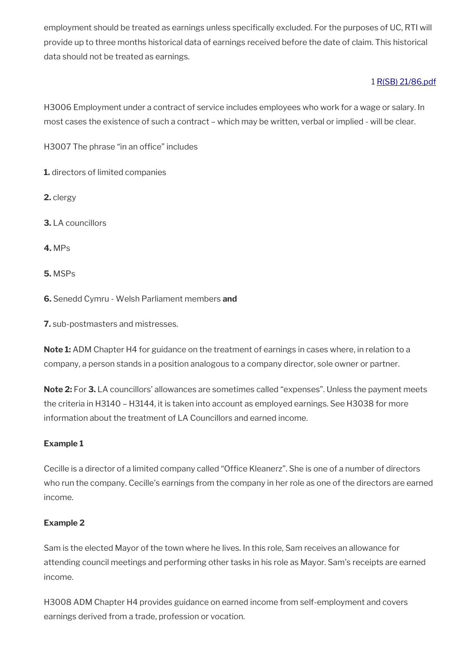employment should be treated as earnings unless specifically excluded. For the purposes of UC, RTI will provide up to three months historical data of earnings received before the date of claim. This historical data should not be treated as earnings.

## 1 [R\(SB\) 21/86.pdf](../file/876457/download/R%2528SB%2529%252021%252F86.pdf)

H3006 Employment under a contract of service includes employees who work for a wage or salary. In most cases the existence of such a contract – which may be written, verbal or implied - will be clear.

H3007 The phrase "in an office" includes

**1.** directors of limited companies

**2.** clergy

**3.** LA councillors

**4.** MPs

**5.** MSPs

**6.** Senedd Cymru - Welsh Parliament members **and**

**7.** sub-postmasters and mistresses.

**Note 1:** ADM Chapter H4 for guidance on the treatment of earnings in cases where, in relation to a company, a person stands in a position analogous to a company director, sole owner or partner.

**Note 2:** For **3.** LA councillors' allowances are sometimes called "expenses". Unless the payment meets the criteria in H3140 – H3144, it is taken into account as employed earnings. See H3038 for more information about the treatment of LA Councillors and earned income.

# **Example 1**

Cecille is a director of a limited company called "Office Kleanerz". She is one of a number of directors who run the company. Cecille's earnings from the company in her role as one of the directors are earned income.

# **Example 2**

Sam is the elected Mayor of the town where he lives. In this role, Sam receives an allowance for attending council meetings and performing other tasks in his role as Mayor. Sam's receipts are earned income.

H3008 ADM Chapter H4 provides guidance on earned income from self-employment and covers earnings derived from a trade, profession or vocation.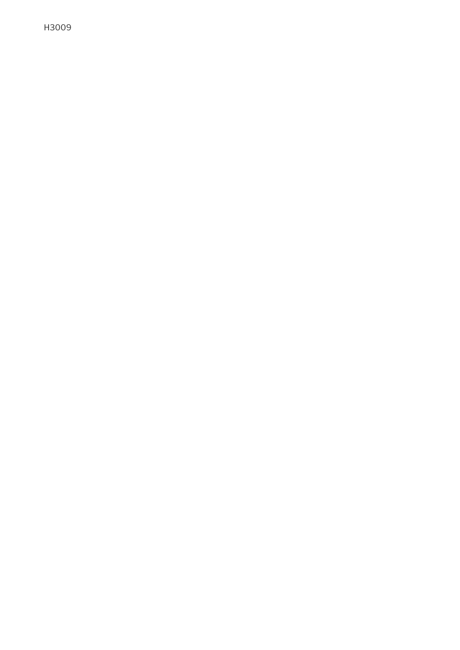H3009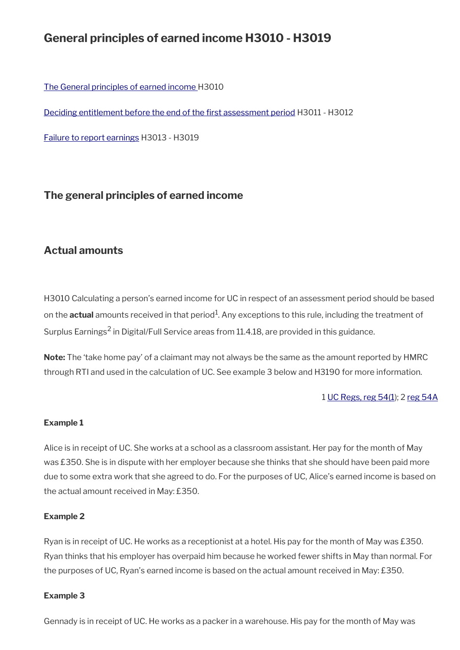# **General principles of earned income H3010 - H3019**

[The General principles of earned income](#page-5-0) H3010

[Deciding entitlement before the end of the frst assessment period](#page-6-1) H3011 - H3012

[Failure to report earnings](#page-6-0) H3013 - H3019

## <span id="page-5-0"></span>**The general principles of earned income**

# **Actual amounts**

H3010 Calculating a person's earned income for UC in respect of an assessment period should be based on the **actual** amounts received in that period<sup>1</sup>. Any exceptions to this rule, including the treatment of Surplus Earnings $^2$  in Digital/Full Service areas from 11.4.18, are provided in this guidance.

**Note:** The 'take home pay' of a claimant may not always be the same as the amount reported by HMRC through RTI and used in the calculation of UC. See example 3 below and H3190 for more information.

#### 1 [UC Regs, reg 54\(1\)](http://www.legislation.gov.uk/uksi/2013/376/regulation/54); 2 [reg 54A](http://www.legislation.gov.uk/uksi/2013/376/regulation/54)

#### **Example 1**

Alice is in receipt of UC. She works at a school as a classroom assistant. Her pay for the month of May was £350. She is in dispute with her employer because she thinks that she should have been paid more due to some extra work that she agreed to do. For the purposes of UC, Alice's earned income is based on the actual amount received in May: £350.

#### **Example 2**

Ryan is in receipt of UC. He works as a receptionist at a hotel. His pay for the month of May was £350. Ryan thinks that his employer has overpaid him because he worked fewer shifts in May than normal. For the purposes of UC, Ryan's earned income is based on the actual amount received in May: £350.

#### **Example 3**

Gennady is in receipt of UC. He works as a packer in a warehouse. His pay for the month of May was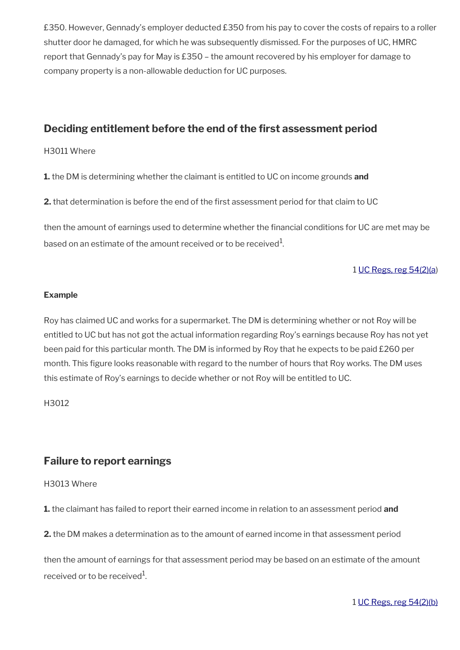£350. However, Gennady's employer deducted £350 from his pay to cover the costs of repairs to a roller shutter door he damaged, for which he was subsequently dismissed. For the purposes of UC, HMRC report that Gennady's pay for May is £350 – the amount recovered by his employer for damage to company property is a non-allowable deduction for UC purposes.

# <span id="page-6-1"></span>**Deciding entitlement before the end of the frst assessment period**

#### H3011 Where

**1.** the DM is determining whether the claimant is entitled to UC on income grounds **and**

**2.** that determination is before the end of the frst assessment period for that claim to UC

then the amount of earnings used to determine whether the fnancial conditions for UC are met may be based on an estimate of the amount received or to be received $^{\rm 1}$ .

#### 1 [UC Regs, reg 54\(2\)\(a](http://www.legislation.gov.uk/uksi/2013/376/regulation/54))

#### **Example**

Roy has claimed UC and works for a supermarket. The DM is determining whether or not Roy will be entitled to UC but has not got the actual information regarding Roy's earnings because Roy has not yet been paid for this particular month. The DM is informed by Roy that he expects to be paid £260 per month. This fgure looks reasonable with regard to the number of hours that Roy works. The DM uses this estimate of Roy's earnings to decide whether or not Roy will be entitled to UC.

H3012

# <span id="page-6-0"></span>**Failure to report earnings**

#### H3013 Where

**1.** the claimant has failed to report their earned income in relation to an assessment period **and**

**2.** the DM makes a determination as to the amount of earned income in that assessment period

then the amount of earnings for that assessment period may be based on an estimate of the amount received or to be received $^{\rm 1}$ .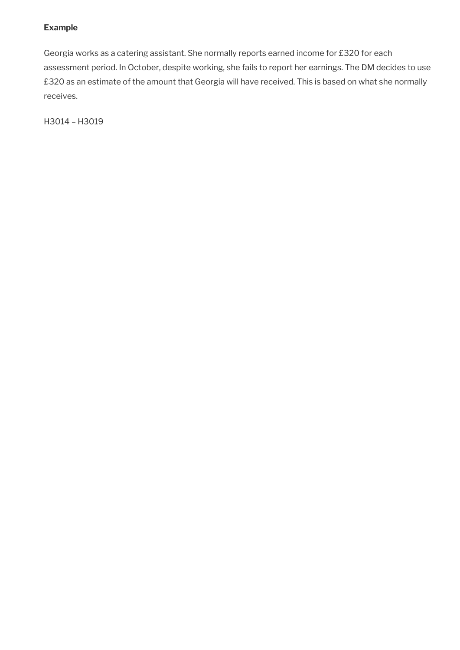## **Example**

Georgia works as a catering assistant. She normally reports earned income for £320 for each assessment period. In October, despite working, she fails to report her earnings. The DM decides to use £320 as an estimate of the amount that Georgia will have received. This is based on what she normally receives.

H3014 – H3019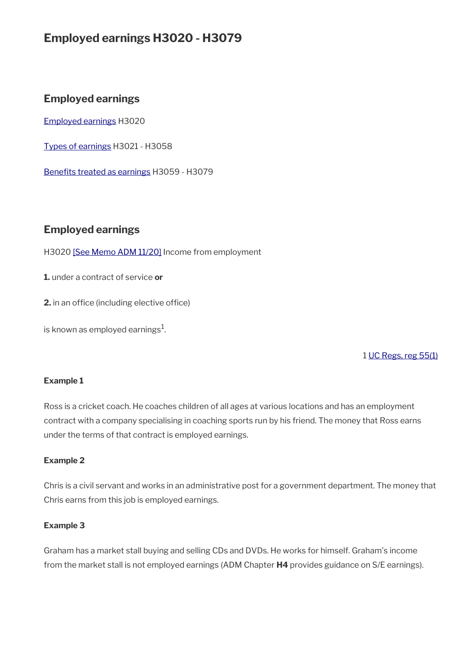# **Employed earnings H3020 - H3079**

# **Employed earnings**

[Employed earnings](#page-8-0) H3020

[Types of earnings](#page-9-0) H3021 - H3058

Benefits treated as earnings H3059 - H3079

# <span id="page-8-0"></span>**Employed earnings**

- H3020 [\[See Memo ADM 11/20\]](http://intranet.dwp.gov.uk/manual/advice-decision-making-adm/1120-hmrc-and-devolved-administration-coronavirus-schemes-and-uc) Income from employment
- **1.** under a contract of service **or**
- **2.** in an office (including elective office)
- is known as employed earnings $^1\!\!$ .

## 1 [UC Regs, reg 55\(1\)](http://www.legislation.gov.uk/uksi/2013/376/regulation/55)

## **Example 1**

Ross is a cricket coach. He coaches children of all ages at various locations and has an employment contract with a company specialising in coaching sports run by his friend. The money that Ross earns under the terms of that contract is employed earnings.

#### **Example 2**

Chris is a civil servant and works in an administrative post for a government department. The money that Chris earns from this job is employed earnings.

#### **Example 3**

Graham has a market stall buying and selling CDs and DVDs. He works for himself. Graham's income from the market stall is not employed earnings (ADM Chapter **H4** provides guidance on S/E earnings).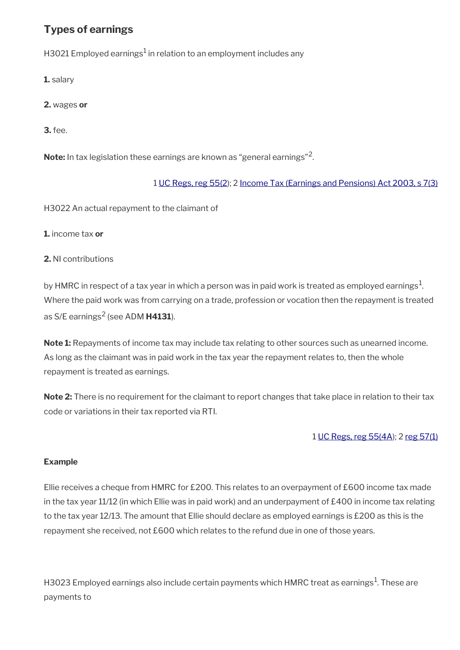# <span id="page-9-0"></span>**Types of earnings**

H3021 Employed earnings $^1$  in relation to an employment includes any

**1.** salary

**2.** wages **or**

**3.** fee.

**Note:** In tax legislation these earnings are known as "general earnings"<sup>2</sup> .

1 [UC Regs, reg 55\(2](http://www.legislation.gov.uk/uksi/2013/376/regulation/55)); 2 [Income Tax \(Earnings and Pensions\) Act 2003, s 7\(3\)](http://www.legislation.gov.uk/ukpga/2003/1/section/7)

H3022 An actual repayment to the claimant of

**1.** income tax **or**

## **2.** NI contributions

by HMRC in respect of a tax year in which a person was in paid work is treated as employed earnings $^1\!$ . Where the paid work was from carrying on a trade, profession or vocation then the repayment is treated as S/E earnings<sup>2</sup> (see ADM **H4131**).

**Note 1:** Repayments of income tax may include tax relating to other sources such as unearned income. As long as the claimant was in paid work in the tax year the repayment relates to, then the whole repayment is treated as earnings.

**Note 2:** There is no requirement for the claimant to report changes that take place in relation to their tax code or variations in their tax reported via RTI.

1 [UC Regs, reg 55\(4A](http://www.legislation.gov.uk/uksi/2013/376/regulation/55)); 2 [reg 57\(1\)](http://www.legislation.gov.uk/uksi/2013/376/regulation/57)

## **Example**

Ellie receives a cheque from HMRC for £200. This relates to an overpayment of £600 income tax made in the tax year 11/12 (in which Ellie was in paid work) and an underpayment of £400 in income tax relating to the tax year 12/13. The amount that Ellie should declare as employed earnings is £200 as this is the repayment she received, not £600 which relates to the refund due in one of those years.

H3023 Employed earnings also include certain payments which HMRC treat as earnings $^1$ . These are payments to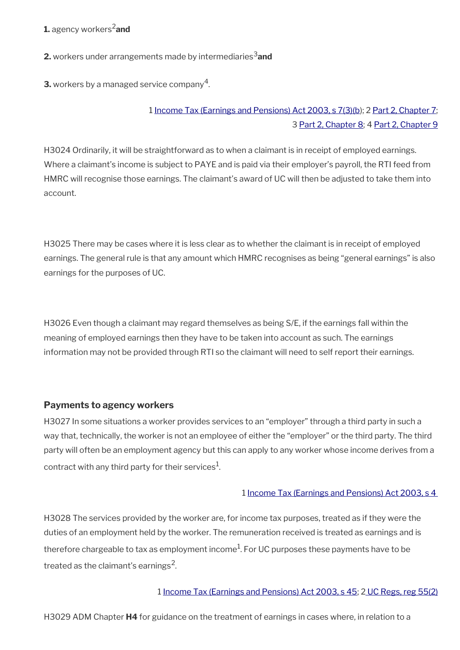**1.** agency workers<sup>2</sup> and

**2.** workers under arrangements made by intermediaries<sup>3</sup> and

**3.** workers by a managed service company $^4$ .

# 1 [Income Tax \(Earnings and Pensions\) Act 2003, s 7\(3\)\(b](http://www.legislation.gov.uk/ukpga/2003/1/section/7)); 2 [Part 2, Chapter 7;](http://www.legislation.gov.uk/ukpga/2003/1/part/2/chapter/7) 3 [Part 2, Chapter 8](http://www.legislation.gov.uk/ukpga/2003/1/part/2/chapter/8); 4 [Part 2, Chapter 9](http://www.legislation.gov.uk/ukpga/2003/1/part/2/chapter/9)

H3024 Ordinarily, it will be straightforward as to when a claimant is in receipt of employed earnings. Where a claimant's income is subject to PAYE and is paid via their employer's payroll, the RTI feed from HMRC will recognise those earnings. The claimant's award of UC will then be adjusted to take them into account.

H3025 There may be cases where it is less clear as to whether the claimant is in receipt of employed earnings. The general rule is that any amount which HMRC recognises as being "general earnings" is also earnings for the purposes of UC.

H3026 Even though a claimant may regard themselves as being S/E, if the earnings fall within the meaning of employed earnings then they have to be taken into account as such. The earnings information may not be provided through RTI so the claimant will need to self report their earnings.

## **Payments to agency workers**

H3027 In some situations a worker provides services to an "employer" through a third party in such a way that, technically, the worker is not an employee of either the "employer" or the third party. The third party will often be an employment agency but this can apply to any worker whose income derives from a contract with any third party for their services $^1\!\!$ .

## 1 [Income Tax \(Earnings and Pensions\) Act 2003, s 4](http://www.legislation.gov.uk/ukpga/2003/1/section/4)

H3028 The services provided by the worker are, for income tax purposes, treated as if they were the duties of an employment held by the worker. The remuneration received is treated as earnings and is therefore chargeable to tax as employment income $^1$ . For UC purposes these payments have to be treated as the claimant's earnings $^2$ .

#### 1 [Income Tax \(Earnings and Pensions\) Act 2003, s 45](http://www.legislation.gov.uk/ukpga/2003/1/section/45); [2 UC Regs, reg 55\(2\)](http://www.legislation.gov.uk/uksi/2013/376/regulation/55)

H3029 ADM Chapter **H4** for guidance on the treatment of earnings in cases where, in relation to a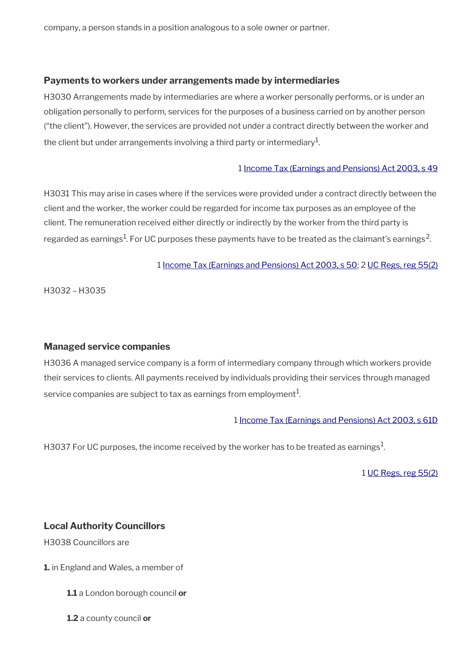company, a person stands in a position analogous to a sole owner or partner.

#### **Payments to workers under arrangements made by intermediaries**

H3030 Arrangements made by intermediaries are where a worker personally performs, or is under an obligation personally to perform, services for the purposes of a business carried on by another person ("the client"). However, the services are provided not under a contract directly between the worker and the client but under arrangements involving a third party or intermediary $^{\rm 1}$ .

## 1 [Income Tax \(Earnings and Pensions\) Act 2003, s 49](http://www.legislation.gov.uk/ukpga/2003/1/section/49)

H3031 This may arise in cases where if the services were provided under a contract directly between the client and the worker, the worker could be regarded for income tax purposes as an employee of the client. The remuneration received either directly or indirectly by the worker from the third party is regarded as earnings $^1$ . For UC purposes these payments have to be treated as the claimant's earnings $^2$ .

#### 1 [Income Tax \(Earnings and Pensions\) Act 2003, s 50](http://www.legislation.gov.uk/ukpga/2003/1/section/50); 2 [UC Regs, reg 55\(2\)](http://www.legislation.gov.uk/uksi/2013/376/regulation/55)

H3032 – H3035

#### **Managed service companies**

H3036 A managed service company is a form of intermediary company through which workers provide their services to clients. All payments received by individuals providing their services through managed service companies are subject to tax as earnings from employment $^{\mathrm{1}}$ .

1 [Income Tax \(Earnings and Pensions\) Act 2003, s 61D](http://www.legislation.gov.uk/ukpga/2003/1/section/61D)

H3037 For UC purposes, the income received by the worker has to be treated as earnings $^1\!$ 

1 [UC Regs, reg 55\(2\)](http://www.legislation.gov.uk/uksi/2013/376/regulation/55)

#### **Local Authority Councillors**

H3038 Councillors are

**1.** in England and Wales, a member of

- **1.1** a London borough council **or**
- **1.2** a county council **or**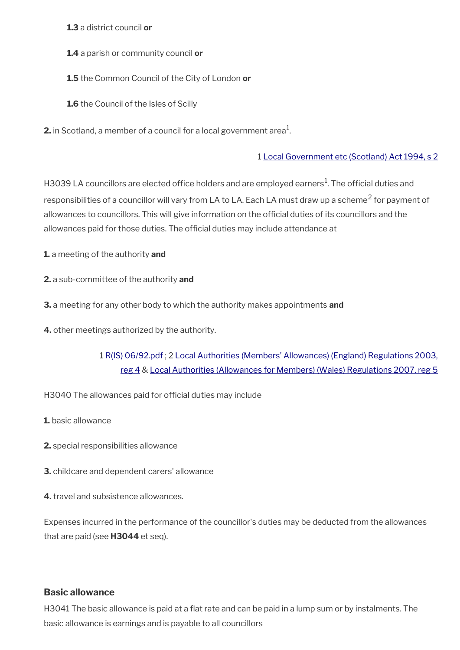**1.3** a district council **or**

- **1.4** a parish or community council **or**
- **1.5** the Common Council of the City of London **or**
- **1.6** the Council of the Isles of Scilly

**2.** in Scotland, a member of a council for a local government area $^1$ .

## 1 [Local Government etc \(Scotland\) Act 1994, s 2](http://www.legislation.gov.uk/ukpga/1994/39/section/2)

H3039 LA councillors are elected office holders and are employed earners $^1$ . The official duties and responsibilities of a councillor will vary from LA to LA. Each LA must draw up a scheme<sup>2</sup> for payment of allowances to councillors. This will give information on the official duties of its councillors and the allowances paid for those duties. The official duties may include attendance at

**1.** a meeting of the authority **and** 

- **2.** a sub-committee of the authority **and**
- **3.** a meeting for any other body to which the authority makes appointments **and**

**4.** other meetings authorized by the authority.

1 [R\(IS\) 06/92.pdf](../file/876441/download/R%2528IS%2529%252006%252F92.pdf) ; 2 [Local Authorities \(Members' Allowances\) \(England\) Regulations 2003,](http://www.legislation.gov.uk/uksi/2003/1021/regulation/4/made) [reg 4](http://www.legislation.gov.uk/uksi/2003/1021/regulation/4/made) & [Local Authorities \(Allowances for Members\) \(Wales\) Regulations 2007, reg 5](http://www.legislation.gov.uk/uksi/2003/1021/regulation/5/made)

H3040 The allowances paid for official duties may include

**1.** basic allowance

- **2.** special responsibilities allowance
- **3.** childcare and dependent carers' allowance
- **4.** travel and subsistence allowances.

Expenses incurred in the performance of the councillor's duties may be deducted from the allowances that are paid (see **H3044** et seq).

## **Basic allowance**

H3041 The basic allowance is paid at a flat rate and can be paid in a lump sum or by instalments. The basic allowance is earnings and is payable to all councillors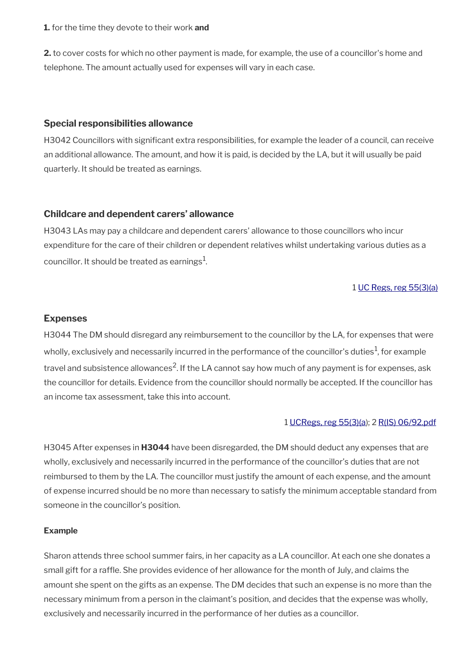#### **1.** for the time they devote to their work **and**

**2.** to cover costs for which no other payment is made, for example, the use of a councillor's home and telephone. The amount actually used for expenses will vary in each case.

#### **Special responsibilities allowance**

H3042 Councillors with signifcant extra responsibilities, for example the leader of a council, can receive an additional allowance. The amount, and how it is paid, is decided by the LA, but it will usually be paid quarterly. It should be treated as earnings.

#### **Childcare and dependent carers' allowance**

H3043 LAs may pay a childcare and dependent carers' allowance to those councillors who incur expenditure for the care of their children or dependent relatives whilst undertaking various duties as a councillor. It should be treated as earnings $^1\!\!$ .

#### 1 [UC Regs, reg 55\(3\)\(a\)](http://www.legislation.gov.uk/uksi/2013/376/regulation/55)

#### **Expenses**

H3044 The DM should disregard any reimbursement to the councillor by the LA, for expenses that were wholly, exclusively and necessarily incurred in the performance of the councillor's duties $^1$ , for example travel and subsistence allowances<sup>2</sup>. If the LA cannot say how much of any payment is for expenses, ask the councillor for details. Evidence from the councillor should normally be accepted. If the councillor has an income tax assessment, take this into account.

#### 1 [UCRegs, reg 55\(3\)\(a\)](http://www.legislation.gov.uk/uksi/2013/376/regulation/55); 2 [R\(IS\) 06/92.pdf](../file/876448/download/R%2528IS%2529%252006%252F92.pdf)

H3045 After expenses in **H3044** have been disregarded, the DM should deduct any expenses that are wholly, exclusively and necessarily incurred in the performance of the councillor's duties that are not reimbursed to them by the LA. The councillor must justify the amount of each expense, and the amount of expense incurred should be no more than necessary to satisfy the minimum acceptable standard from someone in the councillor's position.

#### **Example**

Sharon attends three school summer fairs, in her capacity as a LA councillor. At each one she donates a small gift for a raffe. She provides evidence of her allowance for the month of July, and claims the amount she spent on the gifts as an expense. The DM decides that such an expense is no more than the necessary minimum from a person in the claimant's position, and decides that the expense was wholly, exclusively and necessarily incurred in the performance of her duties as a councillor.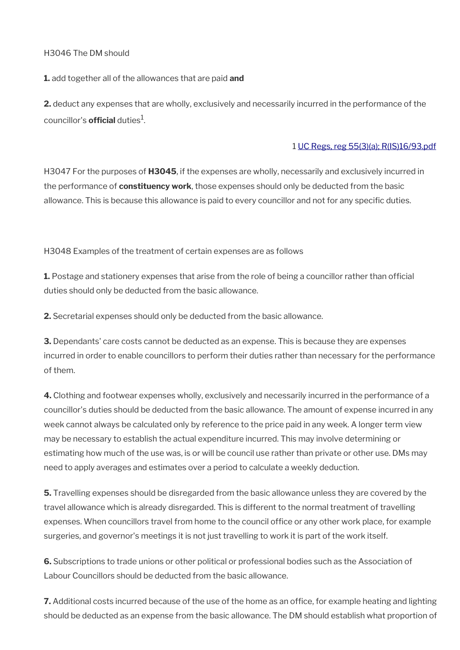#### H3046 The DM should

**1.** add together all of the allowances that are paid **and** 

**2.** deduct any expenses that are wholly, exclusively and necessarily incurred in the performance of the councillor's **official** duties<sup>1</sup>.

#### 1 [UC Regs, reg 55\(3\)\(a\);](http://www.legislation.gov.uk/uksi/2013/376/regulation/55) [R\(IS\)16/93.pdf](../file/876451/download/R%2528IS%252916%252F93.pdf)

H3047 For the purposes of **H3045**, if the expenses are wholly, necessarily and exclusively incurred in the performance of **constituency work**, those expenses should only be deducted from the basic allowance. This is because this allowance is paid to every councillor and not for any specifc duties.

H3048 Examples of the treatment of certain expenses are as follows

**1.** Postage and stationery expenses that arise from the role of being a councillor rather than official duties should only be deducted from the basic allowance.

**2.** Secretarial expenses should only be deducted from the basic allowance.

**3.** Dependants' care costs cannot be deducted as an expense. This is because they are expenses incurred in order to enable councillors to perform their duties rather than necessary for the performance of them.

**4.** Clothing and footwear expenses wholly, exclusively and necessarily incurred in the performance of a councillor's duties should be deducted from the basic allowance. The amount of expense incurred in any week cannot always be calculated only by reference to the price paid in any week. A longer term view may be necessary to establish the actual expenditure incurred. This may involve determining or estimating how much of the use was, is or will be council use rather than private or other use. DMs may need to apply averages and estimates over a period to calculate a weekly deduction.

**5.** Travelling expenses should be disregarded from the basic allowance unless they are covered by the travel allowance which is already disregarded. This is different to the normal treatment of travelling expenses. When councillors travel from home to the council office or any other work place, for example surgeries, and governor's meetings it is not just travelling to work it is part of the work itself.

**6.** Subscriptions to trade unions or other political or professional bodies such as the Association of Labour Councillors should be deducted from the basic allowance.

**7.** Additional costs incurred because of the use of the home as an office, for example heating and lighting should be deducted as an expense from the basic allowance. The DM should establish what proportion of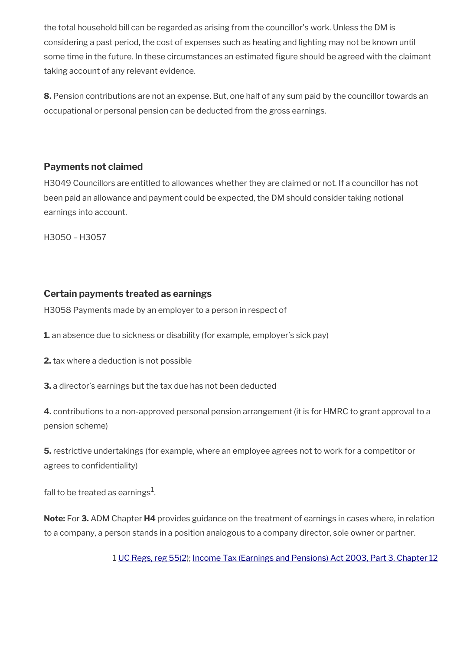the total household bill can be regarded as arising from the councillor's work. Unless the DM is considering a past period, the cost of expenses such as heating and lighting may not be known until some time in the future. In these circumstances an estimated figure should be agreed with the claimant taking account of any relevant evidence.

**8.** Pension contributions are not an expense. But, one half of any sum paid by the councillor towards an occupational or personal pension can be deducted from the gross earnings.

# **Payments not claimed**

H3049 Councillors are entitled to allowances whether they are claimed or not. If a councillor has not been paid an allowance and payment could be expected, the DM should consider taking notional earnings into account.

H3050 – H3057

# **Certain payments treated as earnings**

H3058 Payments made by an employer to a person in respect of

**1.** an absence due to sickness or disability (for example, employer's sick pay)

**2.** tax where a deduction is not possible

**3.** a director's earnings but the tax due has not been deducted

**4.** contributions to a non-approved personal pension arrangement (it is for HMRC to grant approval to a pension scheme)

**5.** restrictive undertakings (for example, where an employee agrees not to work for a competitor or agrees to confidentiality)

fall to be treated as earnings $^{\rm 1}$ .

**Note:** For **3.** ADM Chapter **H4** provides guidance on the treatment of earnings in cases where, in relation to a company, a person stands in a position analogous to a company director, sole owner or partner.

1 [UC Regs, reg 55\(2\)](http://www.legislation.gov.uk/uksi/2013/376/regulation/55); [Income Tax \(Earnings and Pensions\) Act 2003, Part 3, Chapter 12](http://www.legislation.gov.uk/ukpga/2003/1/part/3/chapter/12)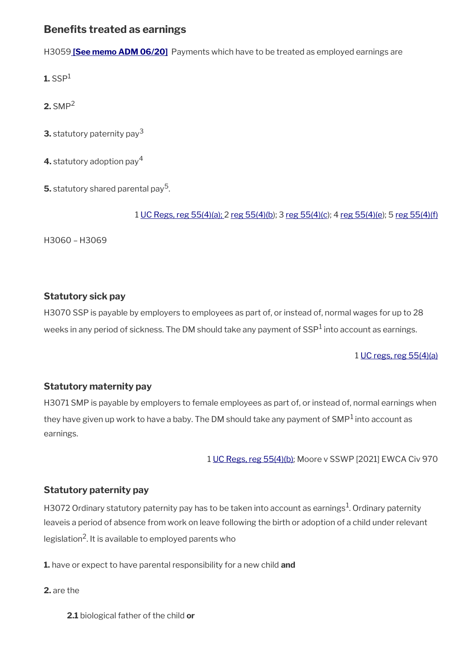# <span id="page-16-0"></span>**Benefts treated as earnings**

H3059 **[\[See memo ADM 06/20\]](http://intranet.dwp.gov.uk/manual/advice-decision-making-adm/0620-parental-bereavement-leave-and-pay-%E2%80%93-consequential-amendments-social-security-benefits)** Payments which have to be treated as employed earnings are

 $1.$  SSP<sup>1</sup>

**2.** SMP<sup>2</sup>

**3.** statutory paternity pay<sup>3</sup>

**4.** statutory adoption pay<sup>4</sup>

**5.** statutory shared parental pay<sup>5</sup>.

1 [UC Regs, reg 55\(4\)\(a\);](http://www.legislation.gov.uk/uksi/2013/376/regulation/55) 2 [reg 55\(4\)\(b](http://www.legislation.gov.uk/uksi/2013/376/regulation/55)); 3 [reg 55\(4\)\(c](http://www.legislation.gov.uk/uksi/2013/376/regulation/55)); 4 [reg 55\(4\)\(e](http://www.legislation.gov.uk/uksi/2013/376/regulation/55)); 5 [reg 55\(4\)\(f\)](http://www.legislation.gov.uk/uksi/2013/376/regulation/55)

H3060 – H3069

# **Statutory sick pay**

H3070 SSP is payable by employers to employees as part of, or instead of, normal wages for up to 28 weeks in any period of sickness. The DM should take any payment of SSP $^1$  into account as earnings.

1 [UC regs, reg 55\(4\)\(a\)](http://www.legislation.gov.uk/uksi/2013/376/regulation/55)

# **Statutory maternity pay**

H3071 SMP is payable by employers to female employees as part of, or instead of, normal earnings when they have given up work to have a baby. The DM should take any payment of SMP $^{\rm 1}$  into account as earnings.

1 [UC Regs, reg 55\(4\)\(b\);](http://www.legislation.gov.uk/uksi/2013/376/regulation/55) Moore v SSWP [2021] EWCA Civ 970

# **Statutory paternity pay**

H3072 Ordinary statutory paternity pay has to be taken into account as earnings $^1$ . Ordinary paternity leaveis a period of absence from work on leave following the birth or adoption of a child under relevant legislation<sup>2</sup>. It is available to employed parents who

**1.** have or expect to have parental responsibility for a new child **and**

**2.** are the

**2.1** biological father of the child **or**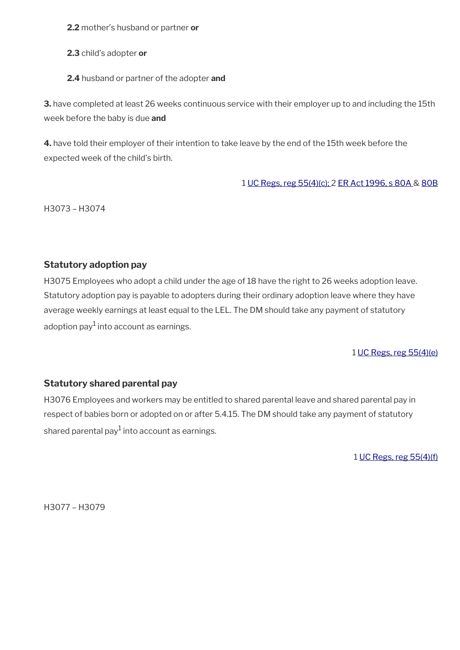**2.2** mother's husband or partner **or**

**2.3** child's adopter **or**

**2.4** husband or partner of the adopter **and**

**3.** have completed at least 26 weeks continuous service with their employer up to and including the 15th week before the baby is due **and**

**4.** have told their employer of their intention to take leave by the end of the 15th week before the expected week of the child's birth.

1 [UC Regs, reg 55\(4\)\(c\); 2](http://www.legislation.gov.uk/uksi/2013/376/regulation/55) [ER Act 1996, s 80A](http://www.legislation.gov.uk/ukpga/1996/18/section/80A) & [80B](http://www.legislation.gov.uk/ukpga/1996/18/section/80B)

H3073 – H3074

## **Statutory adoption pay**

H3075 Employees who adopt a child under the age of 18 have the right to 26 weeks adoption leave. Statutory adoption pay is payable to adopters during their ordinary adoption leave where they have average weekly earnings at least equal to the LEL. The DM should take any payment of statutory adoption pay $^{\rm 1}$  into account as earnings.

1 [UC Regs, reg 55\(4\)\(e\)](http://www.legislation.gov.uk/uksi/2013/376/regulation/55)

## **Statutory shared parental pay**

H3076 Employees and workers may be entitled to shared parental leave and shared parental pay in respect of babies born or adopted on or after 5.4.15. The DM should take any payment of statutory shared parental pay $^1$  into account as earnings.

1 [UC Regs, reg 55\(4\)\(f\)](http://www.legislation.gov.uk/uksi/2013/376/regulation/55)

H3077 – H3079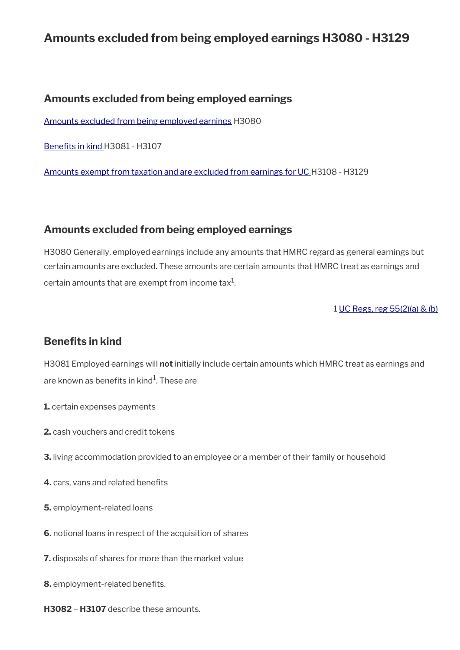# **Amounts excluded from being employed earnings H3080 - H3129**

# **Amounts excluded from being employed earnings**

Amounts excluded from being employed earnings H3080

Benefits in kind H3081 - H3107

[Amounts exempt from taxation and are excluded from earnings for UC H](#page-22-0)3108 - H3129

# **Amounts excluded from being employed earnings**

H3080 Generally, employed earnings include any amounts that HMRC regard as general earnings but certain amounts are excluded. These amounts are certain amounts that HMRC treat as earnings and certain amounts that are exempt from income tax $^{\rm 1}$ .

1 [UC Regs, reg 55\(2\)\(a\) & \(b\)](http://www.legislation.gov.uk/uksi/2013/376/regulation/55)

# <span id="page-18-0"></span>**Benefits in kind**

H3081 Employed earnings will **not** initially include certain amounts which HMRC treat as earnings and are known as benefits in kind<sup>1</sup>. These are

- **1.** certain expenses payments
- **2.** cash vouchers and credit tokens
- **3.** living accommodation provided to an employee or a member of their family or household
- **4.** cars, vans and related benefits
- **5.** employment-related loans
- **6.** notional loans in respect of the acquisition of shares
- **7.** disposals of shares for more than the market value
- 8. employment-related benefits.
- **H3082 H3107** describe these amounts.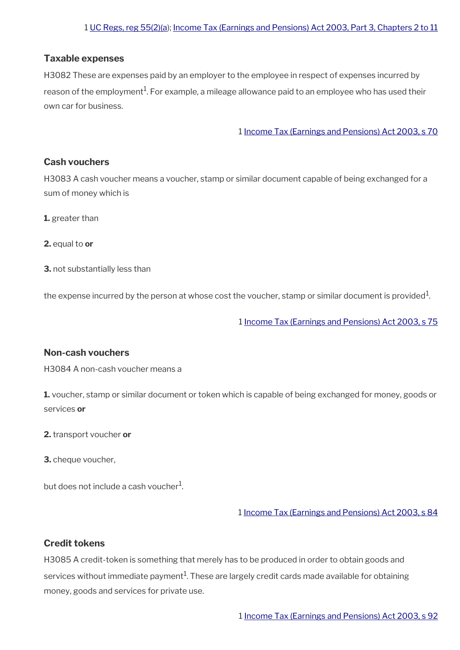#### 1 [UC Regs, reg 55\(2\)\(a\)](http://www.legislation.gov.uk/uksi/2013/376/regulation/55); [Income Tax \(Earnings and Pensions\) Act 2003, Part 3, Chapters 2 to 11](http://www.legislation.gov.uk/ukpga/2003/1/part/3)

#### **Taxable expenses**

H3082 These are expenses paid by an employer to the employee in respect of expenses incurred by reason of the employment $^1$ . For example, a mileage allowance paid to an employee who has used their own car for business.

1 [Income Tax \(Earnings and Pensions\) Act 2003, s 70](http://www.legislation.gov.uk/ukpga/2003/1/section/70)

#### **Cash vouchers**

H3083 A cash voucher means a voucher, stamp or similar document capable of being exchanged for a sum of money which is

**1.** greater than

**2.** equal to **or**

**3.** not substantially less than

the expense incurred by the person at whose cost the voucher, stamp or similar document is provided $^1\!$ 

1 [Income Tax \(Earnings and Pensions\) Act 2003, s 75](http://www.legislation.gov.uk/ukpga/2003/1/section/75)

#### **Non-cash vouchers**

H3084 A non-cash voucher means a

**1.** voucher, stamp or similar document or token which is capable of being exchanged for money, goods or services **or**

**2.** transport voucher **or**

**3.** cheque voucher,

but does not include a cash voucher $^{\rm 1}$ .

1 [Income Tax \(Earnings and Pensions\) Act 2003, s 84](http://www.legislation.gov.uk/ukpga/2003/1/section/84)

## **Credit tokens**

H3085 A credit-token is something that merely has to be produced in order to obtain goods and services without immediate payment $^1$ . These are largely credit cards made available for obtaining money, goods and services for private use.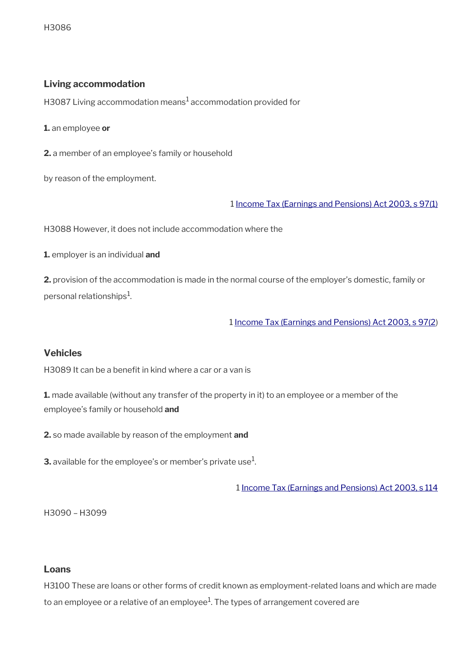## **Living accommodation**

H3087 Living accommodation means $^{\rm 1}$  accommodation provided for

**1.** an employee **or**

**2.** a member of an employee's family or household

by reason of the employment.

1 [Income Tax \(Earnings and Pensions\) Act 2003, s 97\(1\)](http://www.legislation.gov.uk/ukpga/2003/1/section/97)

H3088 However, it does not include accommodation where the

**1.** employer is an individual **and**

**2.** provision of the accommodation is made in the normal course of the employer's domestic, family or personal relationships $^{\rm 1}$ .

1 [Income Tax \(Earnings and Pensions\) Act 2003, s 97\(2](http://www.legislation.gov.uk/ukpga/2003/1/section/97))

## **Vehicles**

H3089 It can be a benefit in kind where a car or a van is

**1.** made available (without any transfer of the property in it) to an employee or a member of the employee's family or household **and**

**2.** so made available by reason of the employment **and**

**3.** available for the employee's or member's private use $^1$ .

1 [Income Tax \(Earnings and Pensions\) Act 2003, s 114](http://www.legislation.gov.uk/ukpga/2003/1/section/114)

H3090 – H3099

#### **Loans**

H3100 These are loans or other forms of credit known as employment-related loans and which are made to an employee or a relative of an employee $^{\rm 1}$ . The types of arrangement covered are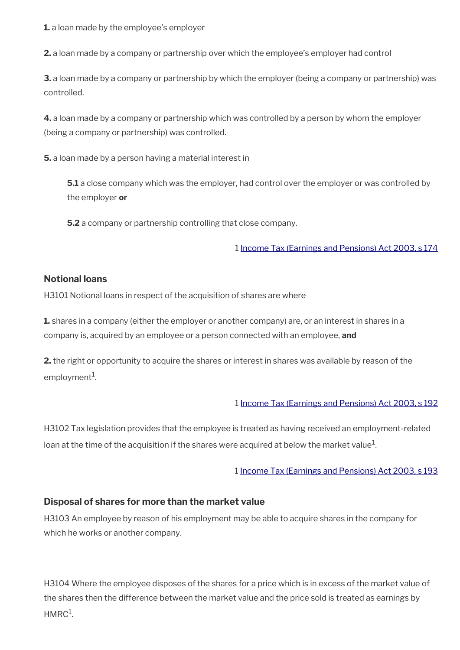**1.** a loan made by the employee's employer

**2.** a loan made by a company or partnership over which the employee's employer had control

**3.** a loan made by a company or partnership by which the employer (being a company or partnership) was controlled.

**4.** a loan made by a company or partnership which was controlled by a person by whom the employer (being a company or partnership) was controlled.

**5.** a loan made by a person having a material interest in

**5.1** a close company which was the employer, had control over the employer or was controlled by the employer **or**

**5.2** a company or partnership controlling that close company.

1 [Income Tax \(Earnings and Pensions\) Act 2003, s 174](http://www.legislation.gov.uk/ukpga/2003/1/section/174)

## **Notional loans**

H3101 Notional loans in respect of the acquisition of shares are where

**1.** shares in a company (either the employer or another company) are, or an interest in shares in a company is, acquired by an employee or a person connected with an employee, **and**

**2.** the right or opportunity to acquire the shares or interest in shares was available by reason of the employment<sup>1</sup>.

#### 1 [Income Tax \(Earnings and Pensions\) Act 2003, s 192](http://www.legislation.gov.uk/ukpga/2003/1/section/192)

H3102 Tax legislation provides that the employee is treated as having received an employment-related loan at the time of the acquisition if the shares were acquired at below the market value $^1$ .

1 [Income Tax \(Earnings and Pensions\) Act 2003, s 193](http://www.legislation.gov.uk/ukpga/2003/1/section/193)

#### **Disposal of shares for more than the market value**

H3103 An employee by reason of his employment may be able to acquire shares in the company for which he works or another company.

H3104 Where the employee disposes of the shares for a price which is in excess of the market value of the shares then the difference between the market value and the price sold is treated as earnings by  $HMRC<sup>1</sup>$ .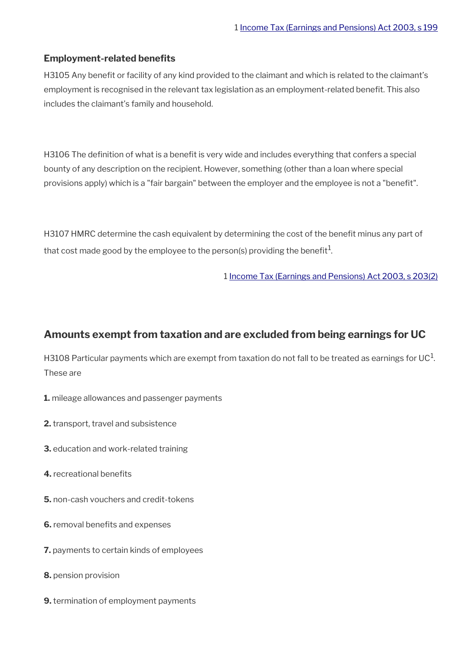## **Employment-related benefits**

H3105 Any benefit or facility of any kind provided to the claimant and which is related to the claimant's employment is recognised in the relevant tax legislation as an employment-related benefit. This also includes the claimant's family and household.

H3106 The definition of what is a benefit is very wide and includes everything that confers a special bounty of any description on the recipient. However, something (other than a loan where special provisions apply) which is a "fair bargain" between the employer and the employee is not a "benefit".

H3107 HMRC determine the cash equivalent by determining the cost of the benefit minus any part of that cost made good by the employee to the person(s) providing the benefit $^{\mathrm{1}}$ .

1 [Income Tax \(Earnings and Pensions\) Act 2003, s 203\(2\)](http://www.legislation.gov.uk/ukpga/2003/1/section/203)

# <span id="page-22-0"></span>**Amounts exempt from taxation and are excluded from being earnings for UC**

H3108 Particular payments which are exempt from taxation do not fall to be treated as earnings for UC $^1$ . These are

- **1.** mileage allowances and passenger payments
- **2.** transport, travel and subsistence
- **3.** education and work-related training
- **4.** recreational benefits
- **5.** non-cash vouchers and credit-tokens
- **6.** removal benefits and expenses
- **7.** payments to certain kinds of employees
- **8.** pension provision
- **9.** termination of employment payments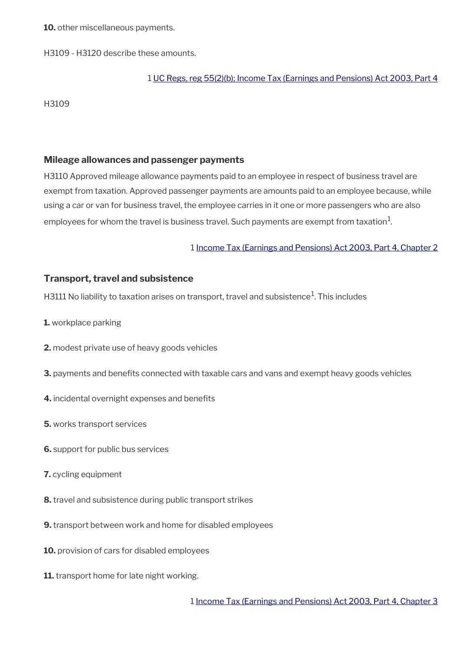H3109 - H3120 describe these amounts.

## 1 [UC Regs, reg 55\(2\)\(b\);](http://www.legislation.gov.uk/uksi/2013/376/regulation/55) [Income Tax \(Earnings and Pensions\) Act 2003, Part 4](http://www.legislation.gov.uk/ukpga/2003/1/part/4)

H3109

## **Mileage allowances and passenger payments**

H3110 Approved mileage allowance payments paid to an employee in respect of business travel are exempt from taxation. Approved passenger payments are amounts paid to an employee because, while using a car or van for business travel, the employee carries in it one or more passengers who are also employees for whom the travel is business travel. Such payments are exempt from taxation $^1\!$ 

#### 1 [Income Tax \(Earnings and Pensions\) Act 2003, Part 4, Chapter 2](http://www.legislation.gov.uk/ukpga/2003/1/part/4)

## **Transport, travel and subsistence**

H3111 No liability to taxation arises on transport, travel and subsistence $^{\rm 1}$ . This includes

- **1.** workplace parking
- **2.** modest private use of heavy goods vehicles
- **3.** payments and benefits connected with taxable cars and vans and exempt heavy goods vehicles
- **4.** incidental overnight expenses and benefits
- **5.** works transport services
- **6.** support for public bus services
- **7.** cycling equipment
- **8.** travel and subsistence during public transport strikes
- **9.** transport between work and home for disabled employees
- **10.** provision of cars for disabled employees
- **11.** transport home for late night working.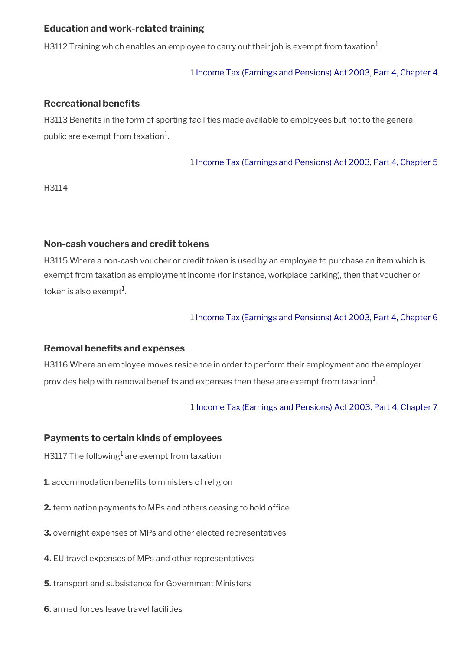## **Education and work-related training**

H3112 Training which enables an employee to carry out their job is exempt from taxation $^1\!$ 

#### 1 [Income Tax \(Earnings and Pensions\) Act 2003, Part 4, Chapter 4](http://www.legislation.gov.uk/ukpga/2003/1/part/4)

#### **Recreational benefits**

H3113 Benefits in the form of sporting facilities made available to employees but not to the general public are exempt from taxation $^{\rm 1}$ .

1 [Income Tax \(Earnings and Pensions\) Act 2003, Part 4, Chapter 5](http://www.legislation.gov.uk/ukpga/2003/1/part/4)

H3114

## **Non-cash vouchers and credit tokens**

H3115 Where a non-cash voucher or credit token is used by an employee to purchase an item which is exempt from taxation as employment income (for instance, workplace parking), then that voucher or token is also exempt $^{\rm 1}$ .

#### 1 [Income Tax \(Earnings and Pensions\) Act 2003, Part 4, Chapter 6](http://www.legislation.gov.uk/ukpga/2003/1/part/4)

## **Removal benefts and expenses**

H3116 Where an employee moves residence in order to perform their employment and the employer provides help with removal benefits and expenses then these are exempt from taxation $^1\!$ 

#### 1 [Income Tax \(Earnings and Pensions\) Act 2003, Part 4, Chapter 7](http://www.legislation.gov.uk/ukpga/2003/1/part/4)

## **Payments to certain kinds of employees**

- H3117 The following $^{\rm 1}$  are exempt from taxation
- **1.** accommodation benefits to ministers of religion
- **2.** termination payments to MPs and others ceasing to hold office
- **3.** overnight expenses of MPs and other elected representatives
- **4.** EU travel expenses of MPs and other representatives
- **5.** transport and subsistence for Government Ministers
- **6.** armed forces leave travel facilities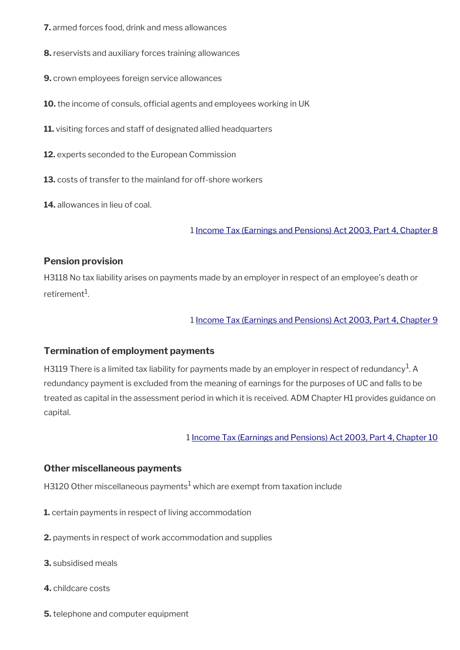- **7.** armed forces food, drink and mess allowances
- **8.** reservists and auxiliary forces training allowances
- **9.** crown employees foreign service allowances
- **10.** the income of consuls, official agents and employees working in UK
- **11.** visiting forces and staff of designated allied headquarters
- **12.** experts seconded to the European Commission
- **13.** costs of transfer to the mainland for off-shore workers
- **14.** allowances in lieu of coal.

#### 1 [Income Tax \(Earnings and Pensions\) Act 2003, Part 4, Chapter 8](http://www.legislation.gov.uk/ukpga/2003/1/part/4)

#### **Pension provision**

H3118 No tax liability arises on payments made by an employer in respect of an employee's death or retirement $^1$ .

#### 1 [Income Tax \(Earnings and Pensions\) Act 2003, Part 4, Chapter 9](http://www.legislation.gov.uk/ukpga/2003/1/part/4)

## **Termination of employment payments**

H3119 There is a limited tax liability for payments made by an employer in respect of redundancy $^{\rm 1}$ . A redundancy payment is excluded from the meaning of earnings for the purposes of UC and falls to be treated as capital in the assessment period in which it is received. ADM Chapter H1 provides guidance on capital.

## 1 [Income Tax \(Earnings and Pensions\) Act 2003, Part 4, Chapter 10](http://www.legislation.gov.uk/ukpga/2003/1/part/4)

## **Other miscellaneous payments**

- H3120 Other miscellaneous payments $^{\rm 1}$  which are exempt from taxation include
- **1.** certain payments in respect of living accommodation
- **2.** payments in respect of work accommodation and supplies
- **3.** subsidised meals
- **4.** childcare costs
- **5.** telephone and computer equipment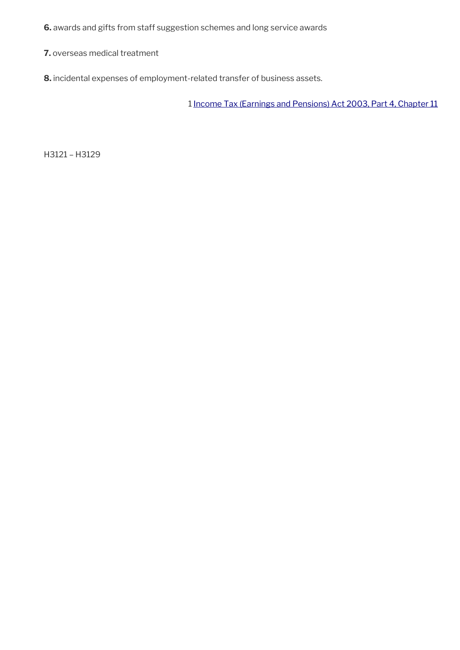**6.** awards and gifts from staff suggestion schemes and long service awards

- **7.** overseas medical treatment
- **8.** incidental expenses of employment-related transfer of business assets.

1 [Income Tax \(Earnings and Pensions\) Act 2003, Part 4, Chapter 11](http://www.legislation.gov.uk/ukpga/2003/1/part/4)

H3121 – H3129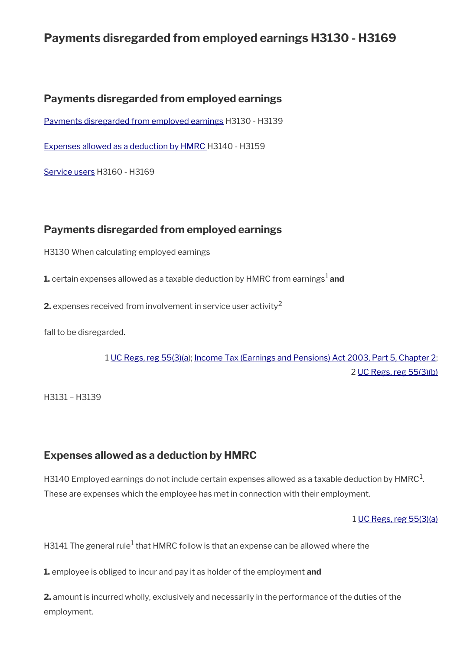# **Payments disregarded from employed earnings H3130 - H3169**

# **Payments disregarded from employed earnings**

[Payments disregarded from employed earnings](#page-27-1) H3130 - H3139

[Expenses allowed as a deduction by HMRC](#page-27-0) H3140 - H3159

[Service users](#page-29-0) H3160 - H3169

# <span id="page-27-1"></span>**Payments disregarded from employed earnings**

H3130 When calculating employed earnings

**1.** certain expenses allowed as a taxable deduction by HMRC from earnings<sup>1</sup> and

**2.** expenses received from involvement in service user activity<sup>2</sup>

fall to be disregarded.

1 [UC Regs, reg 55\(3\)\(a](http://www.legislation.gov.uk/uksi/2013/376/regulation/55)); [Income Tax \(Earnings and Pensions\) Act 2003, Part 5, Chapter 2;](http://www.legislation.gov.uk/ukpga/2003/1/part/5/chapter/2) 2 [UC Regs, reg 55\(3\)\(b\)](http://www.legislation.gov.uk/uksi/2013/376/regulation/55)

H3131 – H3139

# <span id="page-27-0"></span>**Expenses allowed as a deduction by HMRC**

H3140 Employed earnings do not include certain expenses allowed as a taxable deduction by <code>HMRC $^{\rm 1}$ .</code> These are expenses which the employee has met in connection with their employment.

## 1 [UC Regs, reg 55\(3\)\(a\)](http://www.legislation.gov.uk/uksi/2013/376/regulation/55)

H3141 The general rule $^{\rm 1}$  that HMRC follow is that an expense can be allowed where the

**1.** employee is obliged to incur and pay it as holder of the employment **and**

**2.** amount is incurred wholly, exclusively and necessarily in the performance of the duties of the employment.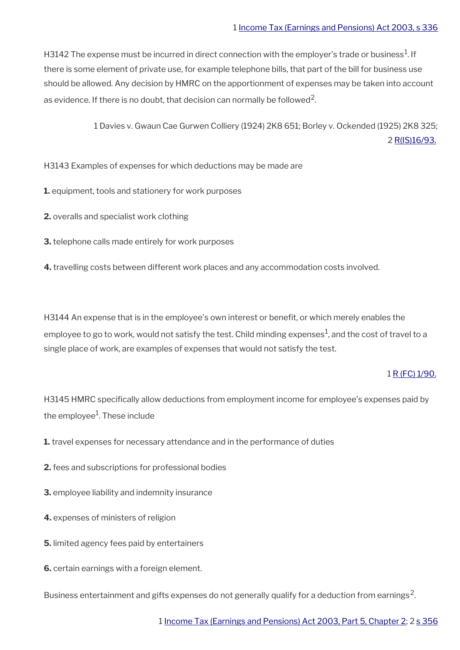H3142 The expense must be incurred in direct connection with the employer's trade or business $^{\rm 1}$ . If there is some element of private use, for example telephone bills, that part of the bill for business use should be allowed. Any decision by HMRC on the apportionment of expenses may be taken into account as evidence. If there is no doubt, that decision can normally be followed $^2\!$ 

> 1 Davies v. Gwaun Cae Gurwen Colliery (1924) 2K8 651; Borley v. Ockended (1925) 2K8 325; 2 [R\(IS\)16/93.](../file/876474/download/R%2528IS%252916%252F93..pdf)

H3143 Examples of expenses for which deductions may be made are

- **1.** equipment, tools and stationery for work purposes
- **2.** overalls and specialist work clothing
- **3.** telephone calls made entirely for work purposes
- **4.** travelling costs between different work places and any accommodation costs involved.

H3144 An expense that is in the employee's own interest or beneft, or which merely enables the employee to go to work, would not satisfy the test. Child minding expenses $^{\rm 1}$ , and the cost of travel to a single place of work, are examples of expenses that would not satisfy the test.

#### 1 [R \(FC\) 1/90.](../file/876477/download/R%2520%2528FC%2529%25201%252F90..pdf)

H3145 HMRC specifically allow deductions from employment income for employee's expenses paid by the employee<sup>1</sup>. These include

- **1.** travel expenses for necessary attendance and in the performance of duties
- **2.** fees and subscriptions for professional bodies
- **3.** employee liability and indemnity insurance
- **4.** expenses of ministers of religion
- **5.** limited agency fees paid by entertainers
- **6.** certain earnings with a foreign element.

Business entertainment and gifts expenses do not generally qualify for a deduction from earnings<sup>2</sup>.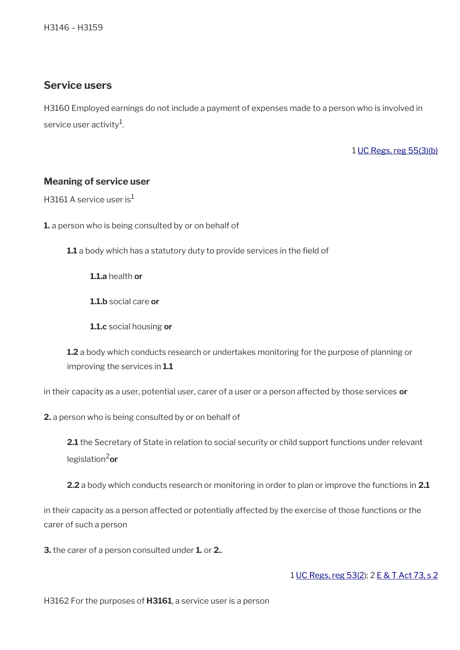# <span id="page-29-0"></span>**Service users**

H3160 Employed earnings do not include a payment of expenses made to a person who is involved in service user activity $^{\rm 1}$ .

1 [UC Regs, reg 55\(3\)\(b\)](http://www.legislation.gov.uk/uksi/2013/376/regulation/55)

## **Meaning of service user**

H3161 A service user is $<sup>1</sup>$ </sup>

**1.** a person who is being consulted by or on behalf of

**1.1** a body which has a statutory duty to provide services in the field of

**1.1.a** health **or**

**1.1.b** social care **or**

**1.1.c** social housing **or**

**1.2** a body which conducts research or undertakes monitoring for the purpose of planning or improving the services in **1.1**

in their capacity as a user, potential user, carer of a user or a person affected by those services **or**

**2.** a person who is being consulted by or on behalf of

**2.1** the Secretary of State in relation to social security or child support functions under relevant legislation2**or**

**2.2** a body which conducts research or monitoring in order to plan or improve the functions in **2.1**

in their capacity as a person affected or potentially affected by the exercise of those functions or the carer of such a person

**3.** the carer of a person consulted under **1.** or **2.**.

1 [UC Regs, reg 53\(2](http://www.legislation.gov.uk/uksi/2013/376/regulation/53)); 2 [E & T Act 73, s 2](http://www.legislation.gov.uk/ukpga/1973/50/section/2)

H3162 For the purposes of **H3161**, a service user is a person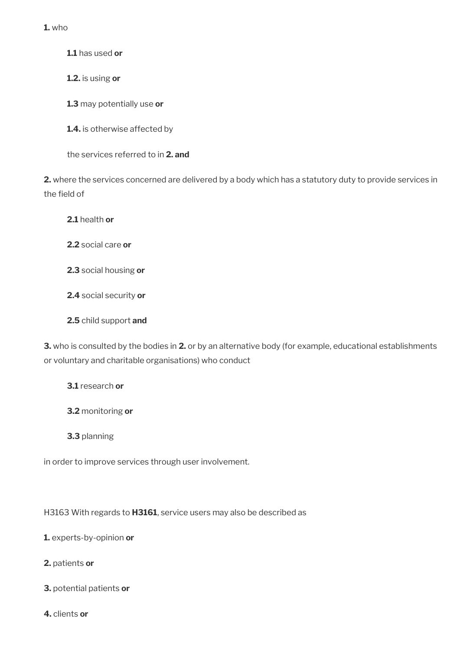## **1.1** has used **or**

- **1.2.** is using **or**
- **1.3** may potentially use **or**
- **1.4.** is otherwise affected by

the services referred to in **2. and**

**2.** where the services concerned are delivered by a body which has a statutory duty to provide services in the field of

- **2.1** health **or**
- **2.2** social care **or**
- **2.3** social housing **or**
- **2.4** social security **or**
- **2.5** child support **and**

**3.** who is consulted by the bodies in **2.** or by an alternative body (for example, educational establishments or voluntary and charitable organisations) who conduct

## **3.1** research **or**

- **3.2** monitoring **or**
- **3.3** planning

in order to improve services through user involvement.

# H3163 With regards to **H3161**, service users may also be described as

- **1.** experts-by-opinion **or**
- **2.** patients **or**
- **3.** potential patients **or**
- **4.** clients **or**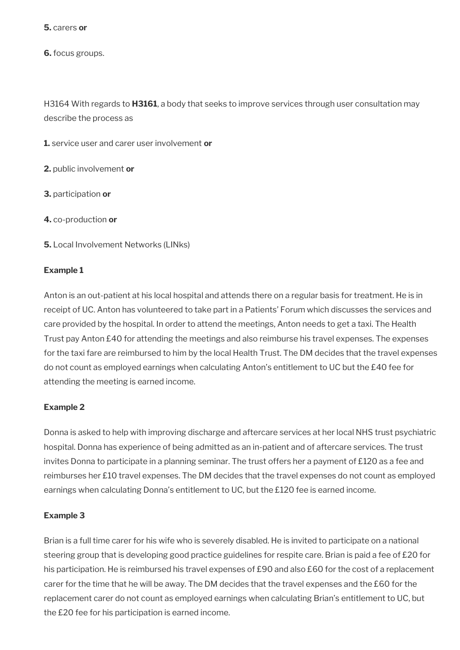**5.** carers **or**

**6.** focus groups.

H3164 With regards to **H3161**, a body that seeks to improve services through user consultation may describe the process as

**1.** service user and carer user involvement **or**

**2.** public involvement **or**

**3.** participation **or**

**4.** co-production **or**

**5.** Local Involvement Networks (LINks)

#### **Example 1**

Anton is an out-patient at his local hospital and attends there on a regular basis for treatment. He is in receipt of UC. Anton has volunteered to take part in a Patients' Forum which discusses the services and care provided by the hospital. In order to attend the meetings, Anton needs to get a taxi. The Health Trust pay Anton £40 for attending the meetings and also reimburse his travel expenses. The expenses for the taxi fare are reimbursed to him by the local Health Trust. The DM decides that the travel expenses do not count as employed earnings when calculating Anton's entitlement to UC but the £40 fee for attending the meeting is earned income.

#### **Example 2**

Donna is asked to help with improving discharge and aftercare services at her local NHS trust psychiatric hospital. Donna has experience of being admitted as an in-patient and of aftercare services. The trust invites Donna to participate in a planning seminar. The trust offers her a payment of £120 as a fee and reimburses her £10 travel expenses. The DM decides that the travel expenses do not count as employed earnings when calculating Donna's entitlement to UC, but the £120 fee is earned income.

#### **Example 3**

Brian is a full time carer for his wife who is severely disabled. He is invited to participate on a national steering group that is developing good practice guidelines for respite care. Brian is paid a fee of £20 for his participation. He is reimbursed his travel expenses of £90 and also £60 for the cost of a replacement carer for the time that he will be away. The DM decides that the travel expenses and the £60 for the replacement carer do not count as employed earnings when calculating Brian's entitlement to UC, but the £20 fee for his participation is earned income.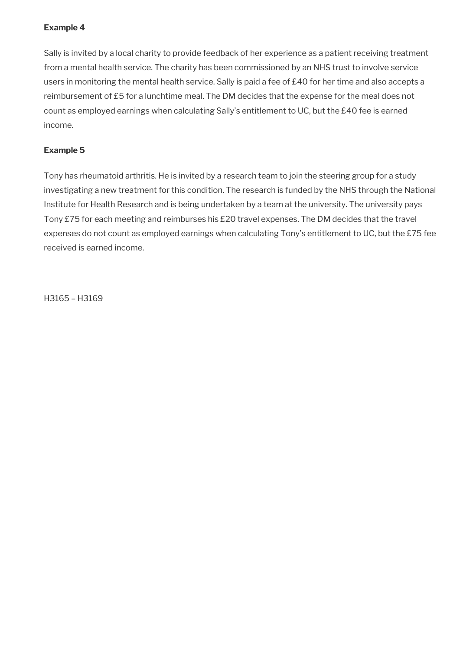## **Example 4**

Sally is invited by a local charity to provide feedback of her experience as a patient receiving treatment from a mental health service. The charity has been commissioned by an NHS trust to involve service users in monitoring the mental health service. Sally is paid a fee of £40 for her time and also accepts a reimbursement of £5 for a lunchtime meal. The DM decides that the expense for the meal does not count as employed earnings when calculating Sally's entitlement to UC, but the £40 fee is earned income.

## **Example 5**

Tony has rheumatoid arthritis. He is invited by a research team to join the steering group for a study investigating a new treatment for this condition. The research is funded by the NHS through the National Institute for Health Research and is being undertaken by a team at the university. The university pays Tony £75 for each meeting and reimburses his £20 travel expenses. The DM decides that the travel expenses do not count as employed earnings when calculating Tony's entitlement to UC, but the £75 fee received is earned income.

H3165 – H3169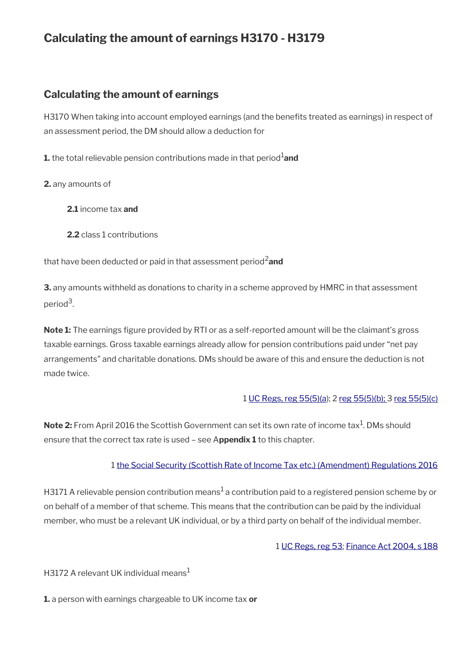# **Calculating the amount of earnings H3170 - H3179**

# **Calculating the amount of earnings**

H3170 When taking into account employed earnings (and the benefts treated as earnings) in respect of an assessment period, the DM should allow a deduction for

**1.** the total relievable pension contributions made in that period<sup>1</sup>and

**2.** any amounts of

- **2.1** income tax **and**
- **2.2** class 1 contributions

that have been deducted or paid in that assessment period2**and**

**3.** any amounts withheld as donations to charity in a scheme approved by HMRC in that assessment period<sup>3</sup>.

**Note 1:** The earnings figure provided by RTI or as a self-reported amount will be the claimant's gross taxable earnings. Gross taxable earnings already allow for pension contributions paid under "net pay arrangements" and charitable donations. DMs should be aware of this and ensure the deduction is not made twice.

# 1 [UC Regs, reg 55\(5\)\(a\)](http://www.legislation.gov.uk/uksi/2013/376/regulation/55); 2 [reg 55\(5\)\(b\);](http://www.legislation.gov.uk/uksi/2013/376/regulation/55) 3 [reg 55\(5\)\(c\)](http://www.legislation.gov.uk/uksi/2013/376/regulation/55)

**Note 2:** From April 2016 the Scottish Government can set its own rate of income tax<sup>1</sup>. DMs should ensure that the correct tax rate is used – see A**ppendix 1** to this chapter.

# 1 [the Social Security \(Scottish Rate of Income Tax etc.\) \(Amendment\) Regulations 2016](http://www.legislation.gov.uk/uksi/2016/233/contents/made)

H3171 A relievable pension contribution means $^1$  a contribution paid to a registered pension scheme by or on behalf of a member of that scheme. This means that the contribution can be paid by the individual member, who must be a relevant UK individual, or by a third party on behalf of the individual member.

# 1 [UC Regs, reg 53](http://www.legislation.gov.uk/uksi/2013/376/regulation/53); [Finance Act 2004, s 188](http://www.legislation.gov.uk/ukpga/2004/12/section/188)

H3172 A relevant UK individual means $<sup>1</sup>$ </sup>

**1.** a person with earnings chargeable to UK income tax **or**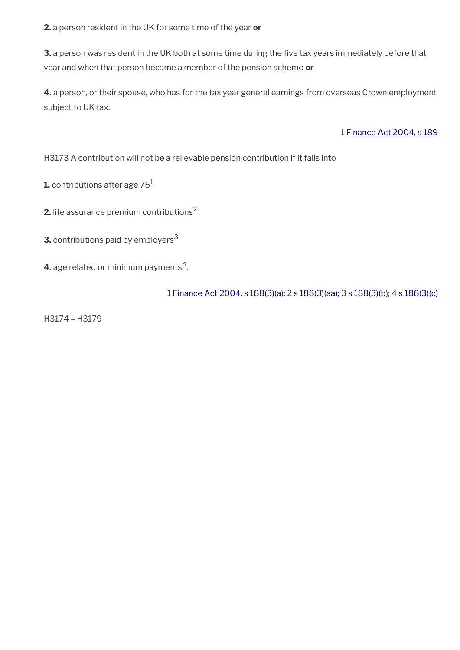**2.** a person resident in the UK for some time of the year **or**

**3.** a person was resident in the UK both at some time during the five tax years immediately before that year and when that person became a member of the pension scheme **or**

**4.** a person, or their spouse, who has for the tax year general earnings from overseas Crown employment subject to UK tax.

1 [Finance Act 2004, s 189](http://www.legislation.gov.uk/ukpga/2004/12/section/189)

H3173 A contribution will not be a relievable pension contribution if it falls into

**1.** contributions after age 75<sup>1</sup>

**2.** life assurance premium contributions<sup>2</sup>

**3.** contributions paid by employers<sup>3</sup>

**4.** age related or minimum payments $^4$ .

1 [Finance Act 2004, s 188\(3\)\(a](http://www.legislation.gov.uk/ukpga/2004/12/section/188)); 2 [s 188\(3\)\(aa\); 3](http://www.legislation.gov.uk/ukpga/2004/12/section/188) [s 188\(3\)\(b](http://www.legislation.gov.uk/ukpga/2004/12/section/188)); 4 [s 188\(3\)\(c\)](http://www.legislation.gov.uk/ukpga/2004/12/section/188)

H3174 – H3179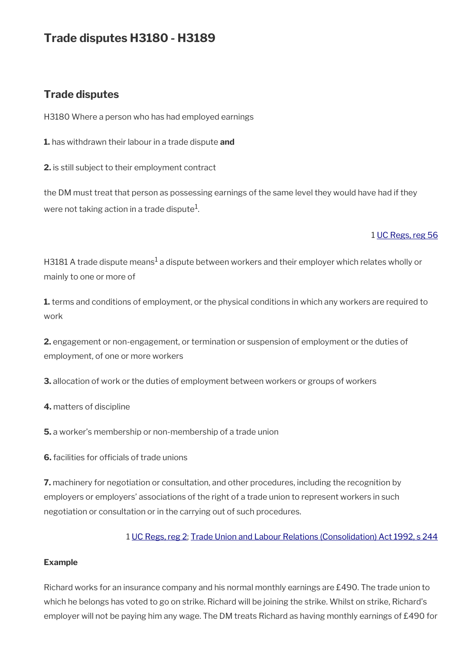# **Trade disputes H3180 - H3189**

# **Trade disputes**

H3180 Where a person who has had employed earnings

**1.** has withdrawn their labour in a trade dispute **and**

**2.** is still subject to their employment contract

the DM must treat that person as possessing earnings of the same level they would have had if they were not taking action in a trade dispute $^1\!\!$ 

#### 1 [UC Regs, reg 56](http://www.legislation.gov.uk/uksi/2013/376/regulation/56)

H3181 A trade dispute means $^1$  a dispute between workers and their employer which relates wholly or mainly to one or more of

**1.** terms and conditions of employment, or the physical conditions in which any workers are required to work

**2.** engagement or non-engagement, or termination or suspension of employment or the duties of employment, of one or more workers

**3.** allocation of work or the duties of employment between workers or groups of workers

**4.** matters of discipline

**5.** a worker's membership or non-membership of a trade union

**6.** facilities for officials of trade unions

**7.** machinery for negotiation or consultation, and other procedures, including the recognition by employers or employers' associations of the right of a trade union to represent workers in such negotiation or consultation or in the carrying out of such procedures.

1 [UC Regs, reg 2](http://www.legislation.gov.uk/uksi/2013/376/regulation/2); [Trade Union and Labour Relations \(Consolidation\) Act 1992, s 244](http://www.legislation.gov.uk/ukpga/1992/52/section/244)

#### **Example**

Richard works for an insurance company and his normal monthly earnings are £490. The trade union to which he belongs has voted to go on strike. Richard will be joining the strike. Whilst on strike, Richard's employer will not be paying him any wage. The DM treats Richard as having monthly earnings of £490 for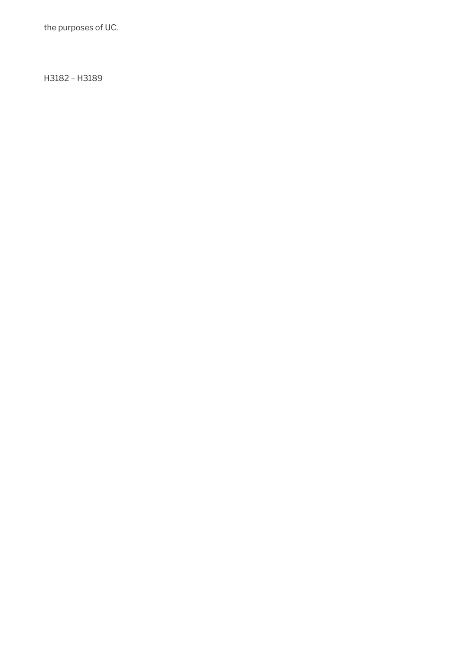the purposes of UC.

H3182 – H3189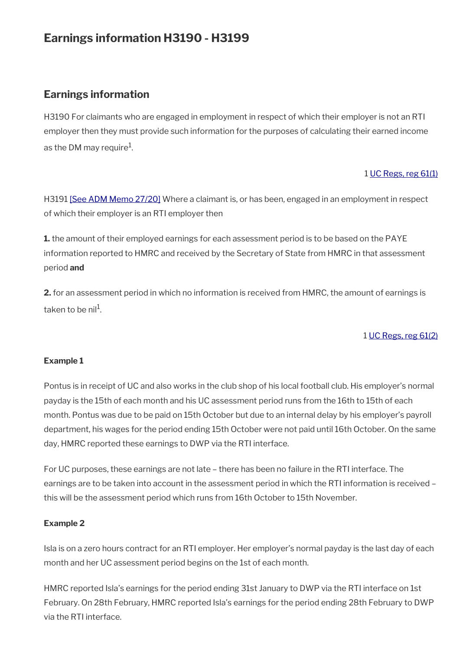# **Earnings information H3190 - H3199**

# **Earnings information**

H3190 For claimants who are engaged in employment in respect of which their employer is not an RTI employer then they must provide such information for the purposes of calculating their earned income as the DM may require $^{\rm 1}$ .

#### 1 [UC Regs, reg 61\(1\)](http://www.legislation.gov.uk/uksi/2013/376/regulation/61)

H3191 [\[See ADM Memo 27/20\]](https://intranet.dwp.gov.uk/manual/advice-decision-making-adm/2720-universal-credit-earned-income-amendment-regulations-2020) Where a claimant is, or has been, engaged in an employment in respect of which their employer is an RTI employer then

**1.** the amount of their employed earnings for each assessment period is to be based on the PAYE information reported to HMRC and received by the Secretary of State from HMRC in that assessment period **and**

**2.** for an assessment period in which no information is received from HMRC, the amount of earnings is taken to be nil $^{\rm 1}$ .

#### 1 [UC Regs, reg 61\(2\)](http://www.legislation.gov.uk/uksi/2013/376/regulation/61)

#### **Example 1**

Pontus is in receipt of UC and also works in the club shop of his local football club. His employer's normal payday is the 15th of each month and his UC assessment period runs from the 16th to 15th of each month. Pontus was due to be paid on 15th October but due to an internal delay by his employer's payroll department, his wages for the period ending 15th October were not paid until 16th October. On the same day, HMRC reported these earnings to DWP via the RTI interface.

For UC purposes, these earnings are not late – there has been no failure in the RTI interface. The earnings are to be taken into account in the assessment period in which the RTI information is received – this will be the assessment period which runs from 16th October to 15th November.

#### **Example 2**

Isla is on a zero hours contract for an RTI employer. Her employer's normal payday is the last day of each month and her UC assessment period begins on the 1st of each month.

HMRC reported Isla's earnings for the period ending 31st January to DWP via the RTI interface on 1st February. On 28th February, HMRC reported Isla's earnings for the period ending 28th February to DWP via the RTI interface.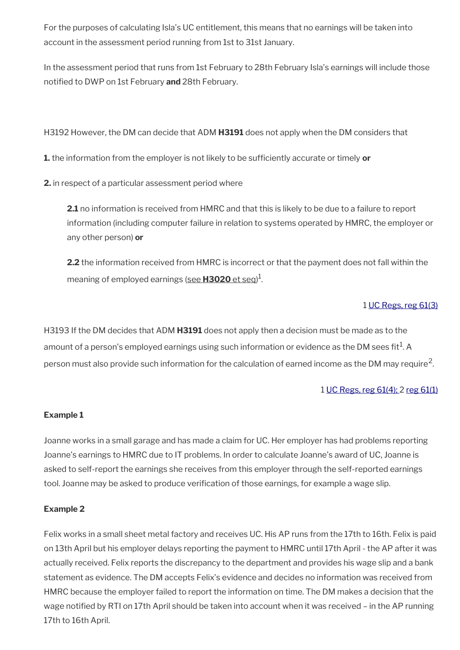For the purposes of calculating Isla's UC entitlement, this means that no earnings will be taken into account in the assessment period running from 1st to 31st January.

In the assessment period that runs from 1st February to 28th February Isla's earnings will include those notifed to DWP on 1st February **and** 28th February.

H3192 However, the DM can decide that ADM **H3191** does not apply when the DM considers that

**1.** the information from the employer is not likely to be sufficiently accurate or timely **or** 

**2.** in respect of a particular assessment period where

**2.1** no information is received from HMRC and that this is likely to be due to a failure to report information (including computer failure in relation to systems operated by HMRC, the employer or any other person) **or**

**2.2** the information received from HMRC is incorrect or that the payment does not fall within the meaning of employed earnings (<u>see **H3020** et seq</u>)<sup>1</sup>.

#### 1 [UC Regs, reg 61\(3\)](http://www.legislation.gov.uk/uksi/2013/376/regulation/61)

H3193 If the DM decides that ADM **H3191** does not apply then a decision must be made as to the amount of a person's employed earnings using such information or evidence as the DM sees fit $^1$ . A person must also provide such information for the calculation of earned income as the DM may require<sup>2</sup>.

#### 1 [UC Regs, reg 61\(4\);](http://www.legislation.gov.uk/uksi/2013/376/regulation/61) 2 [reg 61\(1\)](http://www.legislation.gov.uk/uksi/2013/376/regulation/61)

#### **Example 1**

Joanne works in a small garage and has made a claim for UC. Her employer has had problems reporting Joanne's earnings to HMRC due to IT problems. In order to calculate Joanne's award of UC, Joanne is asked to self-report the earnings she receives from this employer through the self-reported earnings tool. Joanne may be asked to produce verifcation of those earnings, for example a wage slip.

#### **Example 2**

Felix works in a small sheet metal factory and receives UC. His AP runs from the 17th to 16th. Felix is paid on 13th April but his employer delays reporting the payment to HMRC until 17th April - the AP after it was actually received. Felix reports the discrepancy to the department and provides his wage slip and a bank statement as evidence. The DM accepts Felix's evidence and decides no information was received from HMRC because the employer failed to report the information on time. The DM makes a decision that the wage notifed by RTI on 17th April should be taken into account when it was received – in the AP running 17th to 16th April.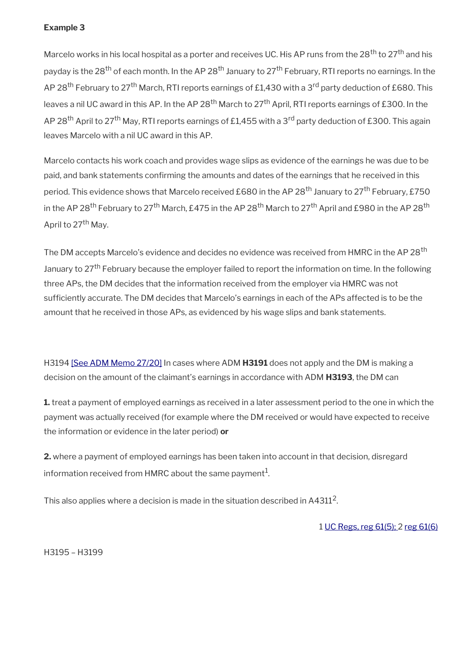#### **Example 3**

Marcelo works in his local hospital as a porter and receives UC. His AP runs from the 28<sup>th</sup> to 27<sup>th</sup> and his payday is the 28<sup>th</sup> of each month. In the AP 28<sup>th</sup> January to 27<sup>th</sup> February, RTI reports no earnings. In the AP 28<sup>th</sup> February to 27<sup>th</sup> March, RTI reports earnings of £1,430 with a 3<sup>rd</sup> party deduction of £680. This leaves a nil UC award in this AP. In the AP 28<sup>th</sup> March to 27<sup>th</sup> April, RTI reports earnings of £300. In the AP 28<sup>th</sup> April to 27<sup>th</sup> May, RTI reports earnings of £1,455 with a 3<sup>rd</sup> party deduction of £300. This again leaves Marcelo with a nil UC award in this AP.

Marcelo contacts his work coach and provides wage slips as evidence of the earnings he was due to be paid, and bank statements confrming the amounts and dates of the earnings that he received in this period. This evidence shows that Marcelo received £680 in the AP 28<sup>th</sup> January to 27<sup>th</sup> February, £750 in the AP 28<sup>th</sup> February to 27<sup>th</sup> March, £475 in the AP 28<sup>th</sup> March to 27<sup>th</sup> April and £980 in the AP 28<sup>th</sup> April to 27<sup>th</sup> May.

The DM accepts Marcelo's evidence and decides no evidence was received from HMRC in the AP 28<sup>th</sup> January to 27<sup>th</sup> February because the employer failed to report the information on time. In the following three APs, the DM decides that the information received from the employer via HMRC was not sufficiently accurate. The DM decides that Marcelo's earnings in each of the APs affected is to be the amount that he received in those APs, as evidenced by his wage slips and bank statements.

H3194 [\[See ADM Memo 27/20\]](https://intranet.dwp.gov.uk/manual/advice-decision-making-adm/2720-universal-credit-earned-income-amendment-regulations-2020) In cases where ADM **H3191** does not apply and the DM is making a decision on the amount of the claimant's earnings in accordance with ADM **H3193**, the DM can

**1.** treat a payment of employed earnings as received in a later assessment period to the one in which the payment was actually received (for example where the DM received or would have expected to receive the information or evidence in the later period) **or**

**2.** where a payment of employed earnings has been taken into account in that decision, disregard information received from HMRC about the same payment $^{\mathrm{1}}$ .

This also applies where a decision is made in the situation described in A4311<sup>2</sup>.

1 [UC Regs, reg 61\(5\);](http://www.legislation.gov.uk/uksi/2013/376/regulation/61) 2 [reg 61\(6\)](http://www.legislation.gov.uk/uksi/2013/376/regulation/61)

H3195 – H3199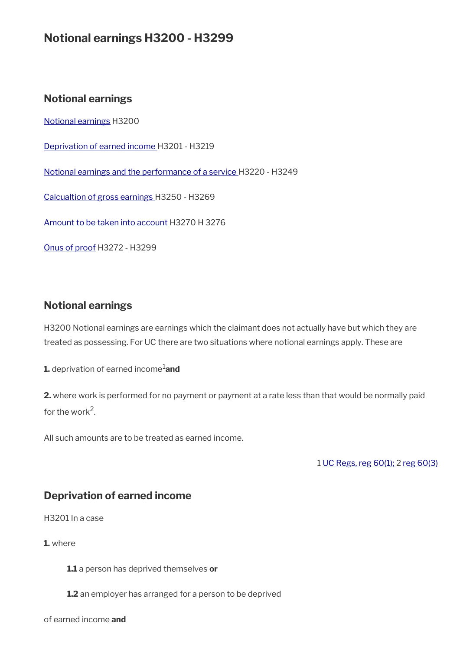# **Notional earnings H3200 - H3299**

## **Notional earnings**

[Notional earnings](#page-40-1) H3200

[Deprivation of earned income H](#page-40-0)3201 - H3219

[Notional earnings and the performance of a service](#page-43-0) H3220 - H3249

[Calcualtion of gross earnings H](#page-47-0)3250 - H3269

[Amount to be taken into account](#page-49-0) H3270 H 3276

[Onus of proof](#page-51-0) H3272 - H3299

## <span id="page-40-1"></span>**Notional earnings**

H3200 Notional earnings are earnings which the claimant does not actually have but which they are treated as possessing. For UC there are two situations where notional earnings apply. These are

**1.** deprivation of earned income<sup>1</sup>and

**2.** where work is performed for no payment or payment at a rate less than that would be normally paid for the work<sup>2</sup>.

All such amounts are to be treated as earned income.

1 [UC Regs, reg 60\(1\);](http://www.legislation.gov.uk/uksi/2013/376/regulation/60) 2 [reg 60\(3\)](http://www.legislation.gov.uk/uksi/2013/376/regulation/60)

## <span id="page-40-0"></span>**Deprivation of earned income**

H3201 In a case

**1.** where

**1.1** a person has deprived themselves **or**

**1.2** an employer has arranged for a person to be deprived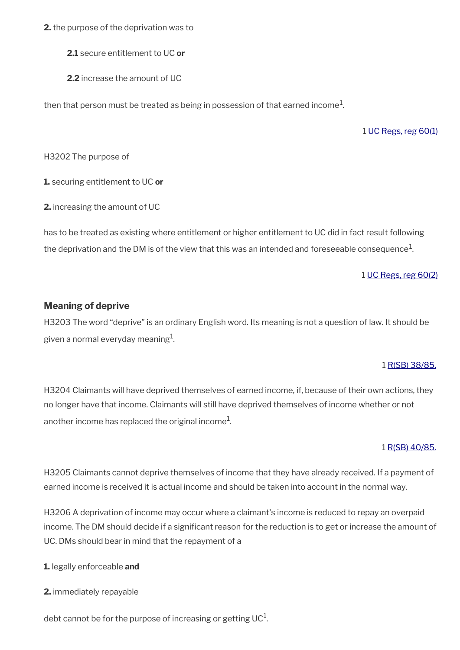**2.** the purpose of the deprivation was to

- **2.1** secure entitlement to UC **or**
- **2.2** increase the amount of UC

then that person must be treated as being in possession of that earned income $^1\!$ 

#### 1 [UC Regs, reg 60\(1\)](http://www.legislation.gov.uk/uksi/2013/376/regulation/60)

H3202 The purpose of

**1.** securing entitlement to UC **or**

**2.** increasing the amount of UC

has to be treated as existing where entitlement or higher entitlement to UC did in fact result following the deprivation and the DM is of the view that this was an intended and foreseeable consequence $^1\!$ 

#### 1 [UC Regs, reg 60\(2\)](http://www.legislation.gov.uk/uksi/2013/376/regulation/60)

#### **Meaning of deprive**

H3203 The word "deprive" is an ordinary English word. Its meaning is not a question of law. It should be given a normal everyday meaning $^{\rm 1}$ .

#### 1 [R\(SB\) 38/85.](../file/876496/download/R%2528SB%2529%252038%252F85..pdf)

H3204 Claimants will have deprived themselves of earned income, if, because of their own actions, they no longer have that income. Claimants will still have deprived themselves of income whether or not another income has replaced the original income $^1\!$ 

#### 1 [R\(SB\) 40/85.](../file/876497/download/R%2528SB%2529%252040%252F85..pdf)

H3205 Claimants cannot deprive themselves of income that they have already received. If a payment of earned income is received it is actual income and should be taken into account in the normal way.

H3206 A deprivation of income may occur where a claimant's income is reduced to repay an overpaid income. The DM should decide if a significant reason for the reduction is to get or increase the amount of UC. DMs should bear in mind that the repayment of a

**1.** legally enforceable **and**

**2.** immediately repayable

debt cannot be for the purpose of increasing or getting UC $^{\rm 1}$ .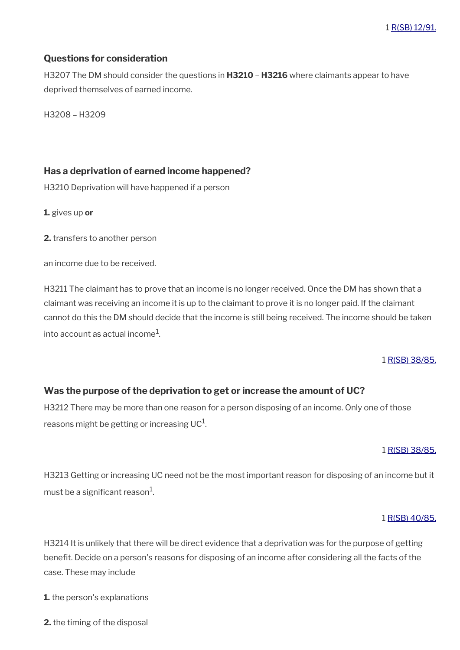#### **Questions for consideration**

H3207 The DM should consider the questions in **H3210** – **H3216** where claimants appear to have deprived themselves of earned income.

H3208 – H3209

#### **Has a deprivation of earned income happened?**

H3210 Deprivation will have happened if a person

**1.** gives up **or** 

**2.** transfers to another person

an income due to be received.

H3211 The claimant has to prove that an income is no longer received. Once the DM has shown that a claimant was receiving an income it is up to the claimant to prove it is no longer paid. If the claimant cannot do this the DM should decide that the income is still being received. The income should be taken into account as actual income $^{\rm 1}$ .

#### 1 [R\(SB\) 38/85.](../file/876499/download/R%2528SB%2529%252038%252F85..pdf)

#### **Was the purpose of the deprivation to get or increase the amount of UC?**

H3212 There may be more than one reason for a person disposing of an income. Only one of those reasons might be getting or increasing UC $^{\rm 1}$ .

#### 1 [R\(SB\) 38/85.](../file/876500/download/R%2528SB%2529%252038%252F85..pdf)

H3213 Getting or increasing UC need not be the most important reason for disposing of an income but it must be a significant reason $^{\rm 1}$ .

#### 1 [R\(SB\) 40/85.](../file/876501/download/R%2528SB%2529%252040%252F85..pdf)

H3214 It is unlikely that there will be direct evidence that a deprivation was for the purpose of getting beneft. Decide on a person's reasons for disposing of an income after considering all the facts of the case. These may include

**1.** the person's explanations

**2.** the timing of the disposal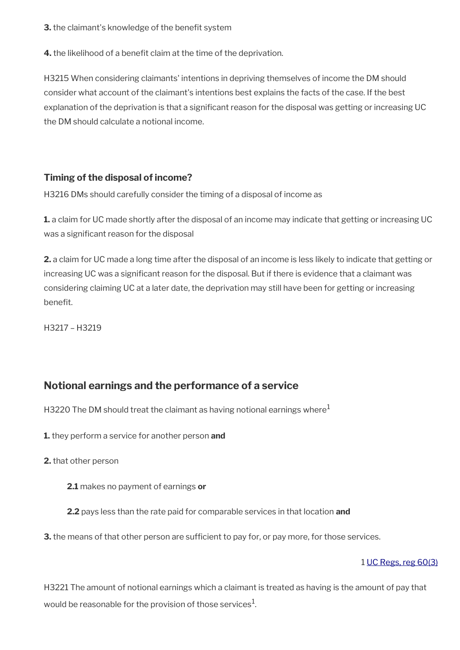**3.** the claimant's knowledge of the benefit system

**4.** the likelihood of a benefit claim at the time of the deprivation.

H3215 When considering claimants' intentions in depriving themselves of income the DM should consider what account of the claimant's intentions best explains the facts of the case. If the best explanation of the deprivation is that a signifcant reason for the disposal was getting or increasing UC the DM should calculate a notional income.

## **Timing of the disposal of income?**

H3216 DMs should carefully consider the timing of a disposal of income as

**1.** a claim for UC made shortly after the disposal of an income may indicate that getting or increasing UC was a significant reason for the disposal

**2.** a claim for UC made a long time after the disposal of an income is less likely to indicate that getting or increasing UC was a significant reason for the disposal. But if there is evidence that a claimant was considering claiming UC at a later date, the deprivation may still have been for getting or increasing benefit.

H3217 – H3219

# <span id="page-43-0"></span>**Notional earnings and the performance of a service**

H3220 The DM should treat the claimant as having notional earnings where<sup>1</sup>

**1.** they perform a service for another person **and** 

**2.** that other person

**2.1** makes no payment of earnings **or** 

**2.2** pays less than the rate paid for comparable services in that location **and**

**3.** the means of that other person are sufficient to pay for, or pay more, for those services.

#### 1 [UC Regs, reg 60\(3\)](http://www.legislation.gov.uk/uksi/2013/376/regulation/60)

H3221 The amount of notional earnings which a claimant is treated as having is the amount of pay that would be reasonable for the provision of those services $^{\mathrm{1}}$ .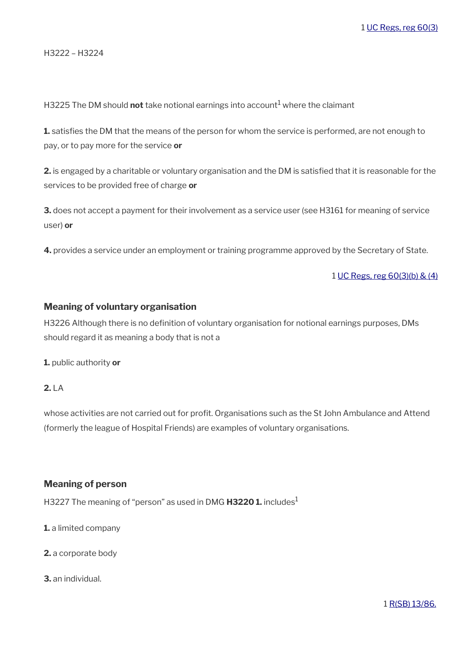H3222 – H3224

H3225 The DM should **not** take notional earnings into account<sup>1</sup> where the claimant

**1.** satisfies the DM that the means of the person for whom the service is performed, are not enough to pay, or to pay more for the service **or**

**2.** is engaged by a charitable or voluntary organisation and the DM is satisfed that it is reasonable for the services to be provided free of charge **or**

**3.** does not accept a payment for their involvement as a service user (see H3161 for meaning of service user) **or**

**4.** provides a service under an employment or training programme approved by the Secretary of State.

1 [UC Regs, reg 60\(3\)\(b\) & \(4\)](http://www.legislation.gov.uk/uksi/2013/376/regulation/60)

#### **Meaning of voluntary organisation**

H3226 Although there is no defnition of voluntary organisation for notional earnings purposes, DMs should regard it as meaning a body that is not a

**1.** public authority **or**

#### **2.** LA

whose activities are not carried out for profit. Organisations such as the St John Ambulance and Attend (formerly the league of Hospital Friends) are examples of voluntary organisations.

#### **Meaning of person**

H3227 The meaning of "person" as used in DMG H32201. includes<sup>1</sup>

**1.** a limited company

- **2.** a corporate body
- **3.** an individual.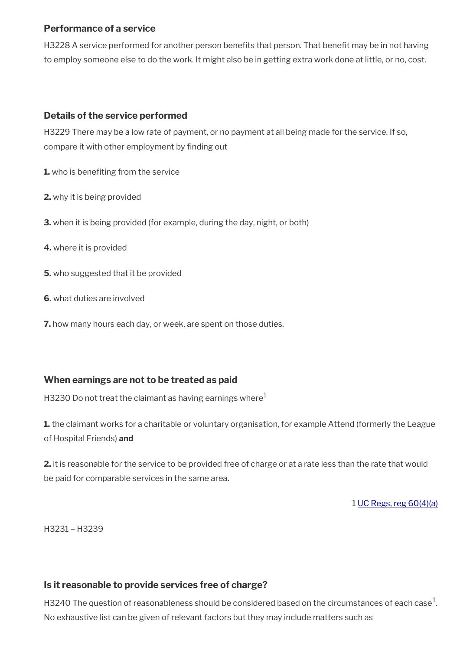## **Performance of a service**

H3228 A service performed for another person benefits that person. That benefit may be in not having to employ someone else to do the work. It might also be in getting extra work done at little, or no, cost.

## **Details of the service performed**

H3229 There may be a low rate of payment, or no payment at all being made for the service. If so, compare it with other employment by finding out

- **1.** who is benefiting from the service
- **2.** why it is being provided
- **3.** when it is being provided (for example, during the day, night, or both)
- **4.** where it is provided
- **5.** who suggested that it be provided
- **6.** what duties are involved
- **7.** how many hours each day, or week, are spent on those duties.

## **When earnings are not to be treated as paid**

H3230 Do not treat the claimant as having earnings where $<sup>1</sup>$ </sup>

**1.** the claimant works for a charitable or voluntary organisation, for example Attend (formerly the League of Hospital Friends) **and** 

**2.** it is reasonable for the service to be provided free of charge or at a rate less than the rate that would be paid for comparable services in the same area.

1 [UC Regs, reg 60\(4\)\(a\)](http://www.legislation.gov.uk/uksi/2013/376/regulation/60)

H3231 – H3239

## **Is it reasonable to provide services free of charge?**

H3240 The question of reasonableness should be considered based on the circumstances of each case $^1\!$ No exhaustive list can be given of relevant factors but they may include matters such as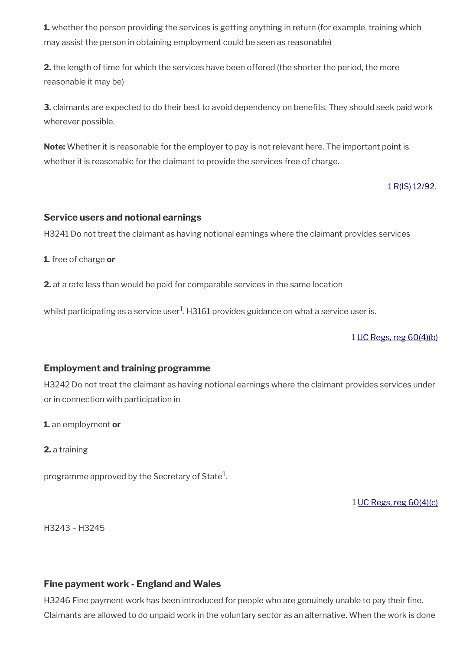**1.** whether the person providing the services is getting anything in return (for example, training which may assist the person in obtaining employment could be seen as reasonable)

**2.** the length of time for which the services have been offered (the shorter the period, the more reasonable it may be)

**3.** claimants are expected to do their best to avoid dependency on benefits. They should seek paid work wherever possible.

**Note:** Whether it is reasonable for the employer to pay is not relevant here. The important point is whether it is reasonable for the claimant to provide the services free of charge.

#### 1 [R\(IS\) 12/92.](../file/876506/download/R%2528IS%2529%252012%252F92..pdf)

#### **Service users and notional earnings**

H3241 Do not treat the claimant as having notional earnings where the claimant provides services

**1.** free of charge **or**

**2.** at a rate less than would be paid for comparable services in the same location

whilst participating as a service user $^1$ . H3161 provides guidance on what a service user is.

1 [UC Regs, reg 60\(4\)\(b\)](http://www.legislation.gov.uk/uksi/2013/376/regulation/60)

#### **Employment and training programme**

H3242 Do not treat the claimant as having notional earnings where the claimant provides services under or in connection with participation in

**1.** an employment **or**

**2.** a training

programme approved by the Secretary of State $^1\!\!$ 

1 [UC Regs, reg 60\(4\)\(c\)](http://www.legislation.gov.uk/uksi/2013/376/regulation/60)

H3243 – H3245

#### **Fine payment work - England and Wales**

H3246 Fine payment work has been introduced for people who are genuinely unable to pay their fine. Claimants are allowed to do unpaid work in the voluntary sector as an alternative. When the work is done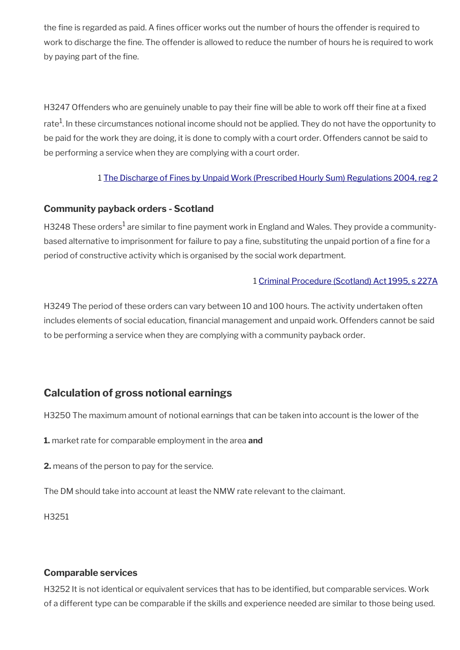the fine is regarded as paid. A fines officer works out the number of hours the offender is required to work to discharge the fine. The offender is allowed to reduce the number of hours he is required to work by paying part of the fine.

H3247 Offenders who are genuinely unable to pay their fine will be able to work off their fine at a fixed rate $^{\rm 1}$ . In these circumstances notional income should not be applied. They do not have the opportunity to be paid for the work they are doing, it is done to comply with a court order. Offenders cannot be said to be performing a service when they are complying with a court order.

#### 1 [The Discharge of Fines by Unpaid Work \(Prescribed Hourly Sum\) Regulations 2004, reg 2](http://www.legislation.gov.uk/uksi/2004/2196/regulation/2/made)

#### **Community payback orders - Scotland**

H3248 These orders $^1$  are similar to fine payment work in England and Wales. They provide a communitybased alternative to imprisonment for failure to pay a fine, substituting the unpaid portion of a fine for a period of constructive activity which is organised by the social work department.

#### 1 [Criminal Procedure \(Scotland\) Act 1995, s 227A](http://www.legislation.gov.uk/ukpga/1995/46/section/227A)

H3249 The period of these orders can vary between 10 and 100 hours. The activity undertaken often includes elements of social education, fnancial management and unpaid work. Offenders cannot be said to be performing a service when they are complying with a community payback order.

## <span id="page-47-0"></span>**Calculation of gross notional earnings**

H3250 The maximum amount of notional earnings that can be taken into account is the lower of the

**1.** market rate for comparable employment in the area **and** 

**2.** means of the person to pay for the service.

The DM should take into account at least the NMW rate relevant to the claimant.

H3251

#### **Comparable services**

H3252 It is not identical or equivalent services that has to be identifed, but comparable services. Work of a different type can be comparable if the skills and experience needed are similar to those being used.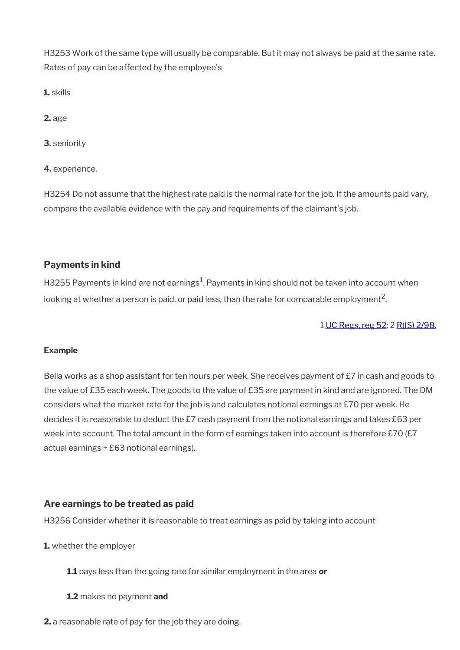H3253 Work of the same type will usually be comparable. But it may not always be paid at the same rate. Rates of pay can be affected by the employee's

**1.** skills

**2.** age

**3.** seniority

**4.** experience.

H3254 Do not assume that the highest rate paid is the normal rate for the job. If the amounts paid vary, compare the available evidence with the pay and requirements of the claimant's job.

#### **Payments in kind**

H3255 Payments in kind are not earnings $^1$ . Payments in kind should not be taken into account when looking at whether a person is paid, or paid less, than the rate for comparable employment<sup>2</sup>.

1 [UC Regs, reg 52](http://www.legislation.gov.uk/uksi/2013/376/regulation/52); 2 [R\(IS\) 2/98.](../file/876524/download/R%2528IS%2529%25202%252F98..pdf)

#### **Example**

Bella works as a shop assistant for ten hours per week. She receives payment of £7 in cash and goods to the value of £35 each week. The goods to the value of £35 are payment in kind and are ignored. The DM considers what the market rate for the job is and calculates notional earnings at £70 per week. He decides it is reasonable to deduct the £7 cash payment from the notional earnings and takes £63 per week into account. The total amount in the form of earnings taken into account is therefore £70 (£7) actual earnings + £63 notional earnings).

#### **Are earnings to be treated as paid**

H3256 Consider whether it is reasonable to treat earnings as paid by taking into account

**1.** whether the employer

- **1.1** pays less than the going rate for similar employment in the area **or**
- **1.2** makes no payment **and**

**2.** a reasonable rate of pay for the job they are doing.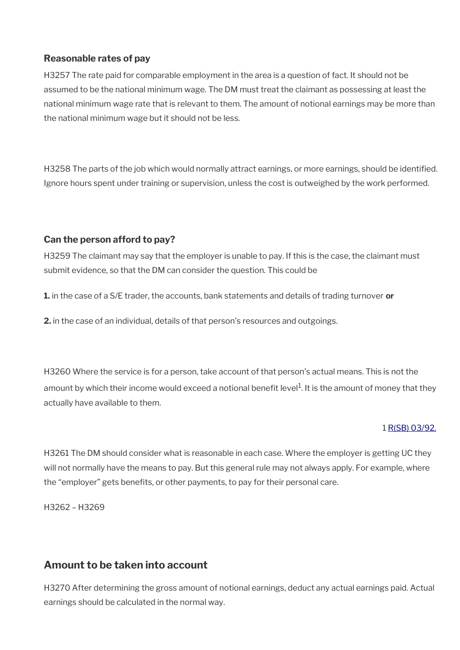#### **Reasonable rates of pay**

H3257 The rate paid for comparable employment in the area is a question of fact. It should not be assumed to be the national minimum wage. The DM must treat the claimant as possessing at least the national minimum wage rate that is relevant to them. The amount of notional earnings may be more than the national minimum wage but it should not be less.

H3258 The parts of the job which would normally attract earnings, or more earnings, should be identifed. Ignore hours spent under training or supervision, unless the cost is outweighed by the work performed.

## **Can the person afford to pay?**

H3259 The claimant may say that the employer is unable to pay. If this is the case, the claimant must submit evidence, so that the DM can consider the question. This could be

**1.** in the case of a S/E trader, the accounts, bank statements and details of trading turnover **or** 

**2.** in the case of an individual, details of that person's resources and outgoings.

H3260 Where the service is for a person, take account of that person's actual means. This is not the amount by which their income would exceed a notional benefit level<sup>1</sup>. It is the amount of money that they actually have available to them.

#### 1 [R\(SB\) 03/92.](../file/876508/download/R%2528SB%2529%252003%252F92..pdf)

H3261 The DM should consider what is reasonable in each case. Where the employer is getting UC they will not normally have the means to pay. But this general rule may not always apply. For example, where the "employer" gets benefts, or other payments, to pay for their personal care.

H3262 – H3269

# <span id="page-49-0"></span>**Amount to be taken into account**

H3270 After determining the gross amount of notional earnings, deduct any actual earnings paid. Actual earnings should be calculated in the normal way.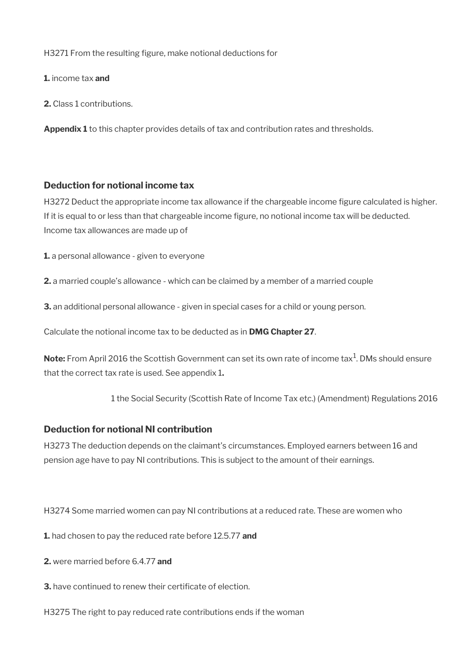H3271 From the resulting figure, make notional deductions for

**1.** income tax **and** 

**2.** Class 1 contributions.

**Appendix 1** to this chapter provides details of tax and contribution rates and thresholds.

#### **Deduction for notional income tax**

H3272 Deduct the appropriate income tax allowance if the chargeable income figure calculated is higher. If it is equal to or less than that chargeable income figure, no notional income tax will be deducted. Income tax allowances are made up of

**1.** a personal allowance - given to everyone

**2.** a married couple's allowance - which can be claimed by a member of a married couple

**3.** an additional personal allowance - given in special cases for a child or young person.

Calculate the notional income tax to be deducted as in **DMG Chapter 27**.

 $\mathsf{Note:}$  From April 2016 the Scottish Government can set its own rate of income tax $^1$ . DMs should ensure that the correct tax rate is used. See appendix 1**.**

1 the Social Security (Scottish Rate of Income Tax etc.) (Amendment) Regulations 2016

#### **Deduction for notional NI contribution**

H3273 The deduction depends on the claimant's circumstances. Employed earners between 16 and pension age have to pay NI contributions. This is subject to the amount of their earnings.

H3274 Some married women can pay NI contributions at a reduced rate. These are women who

**1.** had chosen to pay the reduced rate before 12.5.77 **and** 

- **2.** were married before 6.4.77 **and**
- **3.** have continued to renew their certificate of election.
- H3275 The right to pay reduced rate contributions ends if the woman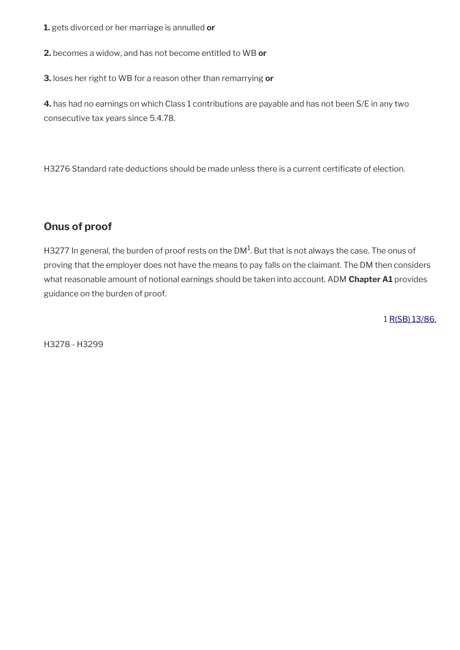**1.** gets divorced or her marriage is annulled **or** 

**2.** becomes a widow, and has not become entitled to WB **or** 

**3.** loses her right to WB for a reason other than remarrying **or** 

**4.** has had no earnings on which Class 1 contributions are payable and has not been S/E in any two consecutive tax years since 5.4.78.

H3276 Standard rate deductions should be made unless there is a current certifcate of election.

## <span id="page-51-0"></span>**Onus of proof**

H3277 In general, the burden of proof rests on the DM $^1$ . But that is not always the case. The onus of proving that the employer does not have the means to pay falls on the claimant. The DM then considers what reasonable amount of notional earnings should be taken into account. ADM **Chapter A1** provides guidance on the burden of proof.

1 [R\(SB\) 13/86.](../file/876513/download/R%2528SB%2529%252013%252F86..pdf)

H3278 - H3299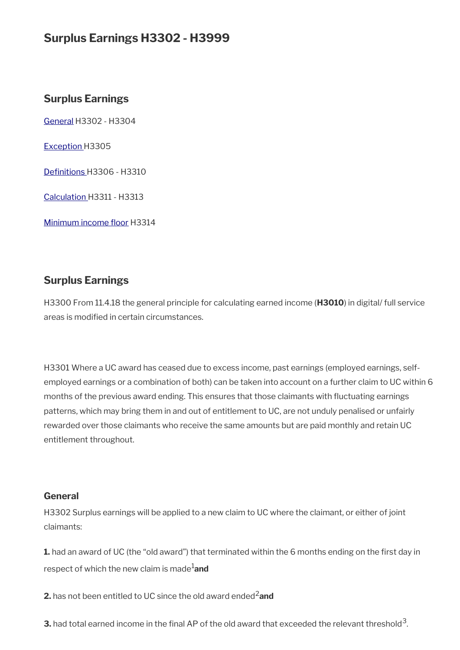## **Surplus Earnings**

[General](#page-52-0) H3302 - H3304

[Exception](#page-53-1) H3305

[Defnitions](#page-53-0) H3306 - H3310

[Calculation H](#page-55-0)3311 - H3313

Minimum income floor H3314

## **Surplus Earnings**

H3300 From 11.4.18 the general principle for calculating earned income (**H3010**) in digital/ full service areas is modifed in certain circumstances.

H3301 Where a UC award has ceased due to excess income, past earnings (employed earnings, selfemployed earnings or a combination of both) can be taken into account on a further claim to UC within 6 months of the previous award ending. This ensures that those claimants with fuctuating earnings patterns, which may bring them in and out of entitlement to UC, are not unduly penalised or unfairly rewarded over those claimants who receive the same amounts but are paid monthly and retain UC entitlement throughout.

#### <span id="page-52-0"></span>**General**

H3302 Surplus earnings will be applied to a new claim to UC where the claimant, or either of joint claimants:

1. had an award of UC (the "old award") that terminated within the 6 months ending on the first day in respect of which the new claim is made<sup>1</sup>and

**2.** has not been entitled to UC since the old award ended<sup>2</sup>and

 ${\bf 3}.$  had total earned income in the final AP of the old award that exceeded the relevant threshold $^3.$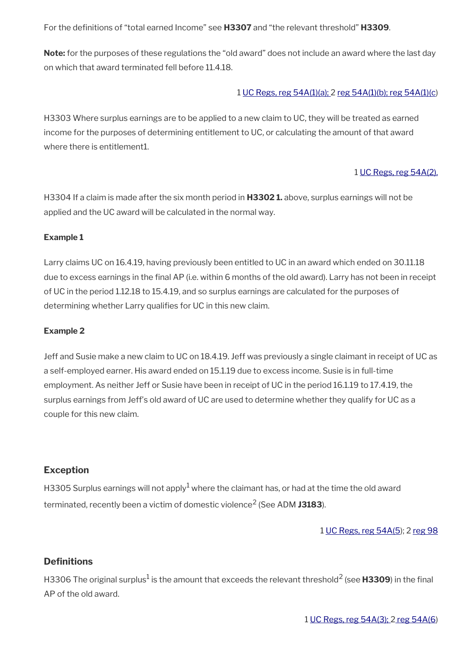For the defnitions of "total earned Income" see **H3307** and "the relevant threshold" **H3309**.

**Note:** for the purposes of these regulations the "old award" does not include an award where the last day on which that award terminated fell before 11.4.18.

#### 1 [UC Regs, reg 54A\(1\)\(a\);](http://www.legislation.gov.uk/uksi/2013/376/regulation/54A) 2 [reg 54A\(1\)\(b\); reg 54A\(1\)\(c](http://www.legislation.gov.uk/uksi/2013/376/regulation/54A))

H3303 Where surplus earnings are to be applied to a new claim to UC, they will be treated as earned income for the purposes of determining entitlement to UC, or calculating the amount of that award where there is entitlement1.

#### 1 [UC Regs, reg 54A\(2\).](http://www.legislation.gov.uk/uksi/2013/376/regulation/54A)

H3304 If a claim is made after the six month period in **H3302 1.** above, surplus earnings will not be applied and the UC award will be calculated in the normal way.

#### **Example 1**

Larry claims UC on 16.4.19, having previously been entitled to UC in an award which ended on 30.11.18 due to excess earnings in the final AP (i.e. within 6 months of the old award). Larry has not been in receipt of UC in the period 1.12.18 to 15.4.19, and so surplus earnings are calculated for the purposes of determining whether Larry qualifies for UC in this new claim.

#### **Example 2**

Jeff and Susie make a new claim to UC on 18.4.19. Jeff was previously a single claimant in receipt of UC as a self-employed earner. His award ended on 15.1.19 due to excess income. Susie is in full-time employment. As neither Jeff or Susie have been in receipt of UC in the period 16.1.19 to 17.4.19, the surplus earnings from Jeff's old award of UC are used to determine whether they qualify for UC as a couple for this new claim.

#### <span id="page-53-1"></span>**Exception**

H3305 Surplus earnings will not apply $^{\rm 1}$  where the claimant has, or had at the time the old award terminated, recently been a victim of domestic violence<sup>2</sup> (See ADM **J3183**).

1 [UC Regs, reg 54A\(5](http://www.legislation.gov.uk/uksi/2013/376/regulation/54A)); 2 [reg 98](http://www.legislation.gov.uk/uksi/2013/376/regulation/98)

#### <span id="page-53-0"></span>**Definitions**

H3306 The original surplus<sup>1</sup> is the amount that exceeds the relevant threshold<sup>2</sup> (see **H3309**) in the final AP of the old award.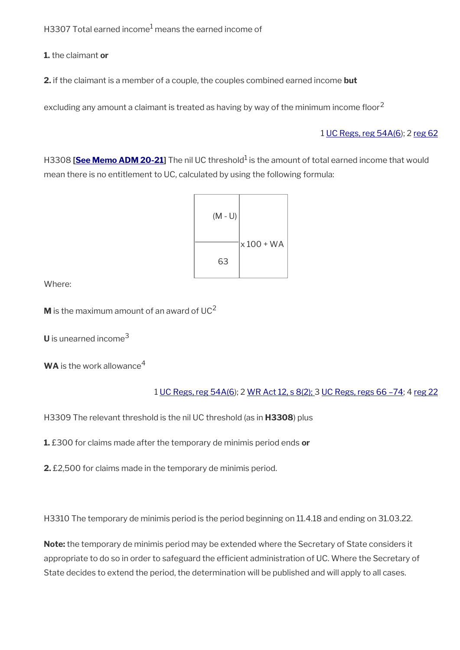H3307 Total earned income $^{\rm 1}$  means the earned income of

**1.** the claimant **or**

**2.** if the claimant is a member of a couple, the couples combined earned income **but**

excluding any amount a claimant is treated as having by way of the minimum income floor<sup>2</sup>

1 [UC Regs, reg 54A\(6](http://www.legislation.gov.uk/uksi/2013/376/regulation/54A)); 2 [reg 62](http://www.legislation.gov.uk/uksi/2013/376/regulation/62)

H3308 [<mark>[See Memo ADM 20-21](https://intranet.dwp.gov.uk/manual/advice-decision-making-adm/2021-changes-taper-rate-and-work-allowance)</mark>] The nil UC threshold<sup>1</sup> is the amount of total earned income that would mean there is no entitlement to UC, calculated by using the following formula:



Where:

**M** is the maximum amount of an award of UC<sup>2</sup>

**U** is unearned income<sup>3</sup>

WA is the work allowance<sup>4</sup>

#### 1 [UC Regs, reg 54A\(6](http://www.legislation.gov.uk/uksi/2013/376/regulation/54A)); 2 [WR Act 12, s 8\(2\);](http://www.legislation.gov.uk/ukpga/2012/5/section/8) 3 [UC Regs, regs 66 –74](http://www.legislation.gov.uk/uksi/2013/376/part/6/chapter/3); 4 [reg 22](http://www.legislation.gov.uk/uksi/2013/376/regulation/22)

H3309 The relevant threshold is the nil UC threshold (as in **H3308**) plus

**1.** £300 for claims made after the temporary de minimis period ends **or**

**2.** £2,500 for claims made in the temporary de minimis period.

H3310 The temporary de minimis period is the period beginning on 11.4.18 and ending on 31.03.22.

**Note:** the temporary de minimis period may be extended where the Secretary of State considers it appropriate to do so in order to safeguard the efficient administration of UC. Where the Secretary of State decides to extend the period, the determination will be published and will apply to all cases.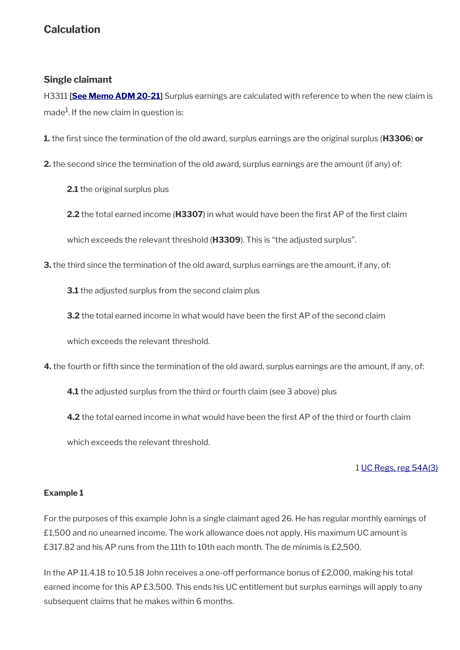## <span id="page-55-0"></span>**Calculation**

#### **Single claimant**

H3311 **[\[See Memo ADM 20-21](https://intranet.dwp.gov.uk/manual/advice-decision-making-adm/2021-changes-taper-rate-and-work-allowance)]** Surplus earnings are calculated with reference to when the new claim is made $^{\rm 1}$ . If the new claim in question is:

**1.** the frst since the termination of the old award, surplus earnings are the original surplus (**H3306**) **or**

**2.** the second since the termination of the old award, surplus earnings are the amount (if any) of:

**2.1** the original surplus plus

**2.2** the total earned income (H3307) in what would have been the first AP of the first claim

which exceeds the relevant threshold (**H3309**). This is "the adjusted surplus".

**3.** the third since the termination of the old award, surplus earnings are the amount, if any, of:

**3.1** the adjusted surplus from the second claim plus

**3.2** the total earned income in what would have been the first AP of the second claim

which exceeds the relevant threshold.

**4.** the fourth or ffth since the termination of the old award, surplus earnings are the amount, if any, of:

**4.1** the adjusted surplus from the third or fourth claim (see 3 above) plus

**4.2** the total earned income in what would have been the first AP of the third or fourth claim

which exceeds the relevant threshold.

#### 1 [UC Regs, reg 54A\(3\)](http://www.legislation.gov.uk/uksi/2013/376/regulation/54A)

#### **Example 1**

For the purposes of this example John is a single claimant aged 26. He has regular monthly earnings of £1,500 and no unearned income. The work allowance does not apply. His maximum UC amount is £317.82 and his AP runs from the 11th to 10th each month. The de minimis is £2,500.

In the AP 11.4.18 to 10.5.18 John receives a one-off performance bonus of £2,000, making his total earned income for this AP £3,500. This ends his UC entitlement but surplus earnings will apply to any subsequent claims that he makes within 6 months.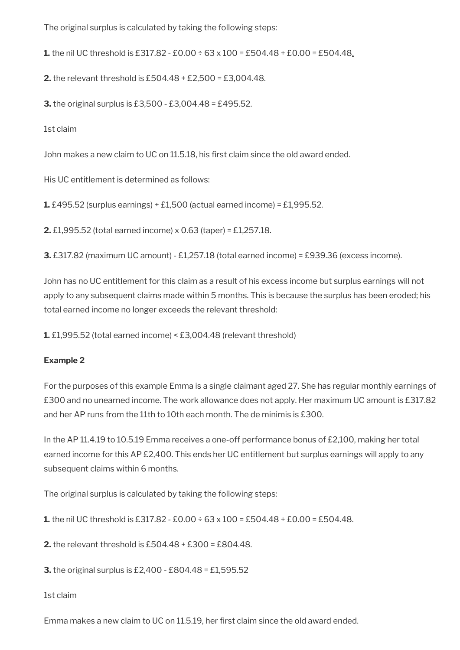The original surplus is calculated by taking the following steps:

**1.** the nil UC threshold is £317.82 - £0.00 ÷ 63 x 100 = £504.48 + £0.00 = £504.48.

**2.** the relevant threshold is £504.48 + £2,500 = £3,004.48.

**3.** the original surplus is £3,500 - £3,004.48 = £495.52.

1st claim

John makes a new claim to UC on 11.5.18, his frst claim since the old award ended.

His UC entitlement is determined as follows:

**1.** £495.52 (surplus earnings) + £1,500 (actual earned income) = £1,995.52.

**2.** £1,995.52 (total earned income) x 0.63 (taper) = £1,257.18.

**3.** £317.82 (maximum UC amount) - £1,257.18 (total earned income) = £939.36 (excess income).

John has no UC entitlement for this claim as a result of his excess income but surplus earnings will not apply to any subsequent claims made within 5 months. This is because the surplus has been eroded; his total earned income no longer exceeds the relevant threshold:

**1.** £1,995.52 (total earned income) < £3,004.48 (relevant threshold)

#### **Example 2**

For the purposes of this example Emma is a single claimant aged 27. She has regular monthly earnings of £300 and no unearned income. The work allowance does not apply. Her maximum UC amount is £317.82 and her AP runs from the 11th to 10th each month. The de minimis is £300.

In the AP 11.4.19 to 10.5.19 Emma receives a one-off performance bonus of £2,100, making her total earned income for this AP £2,400. This ends her UC entitlement but surplus earnings will apply to any subsequent claims within 6 months.

The original surplus is calculated by taking the following steps:

**1.** the nil UC threshold is £317.82 - £0.00 ÷ 63 x 100 = £504.48 + £0.00 = £504.48.

**2.** the relevant threshold is £504.48 + £300 = £804.48.

**3.** the original surplus is £2,400 - £804.48 = £1,595.52

#### 1st claim

Emma makes a new claim to UC on 11.5.19, her frst claim since the old award ended.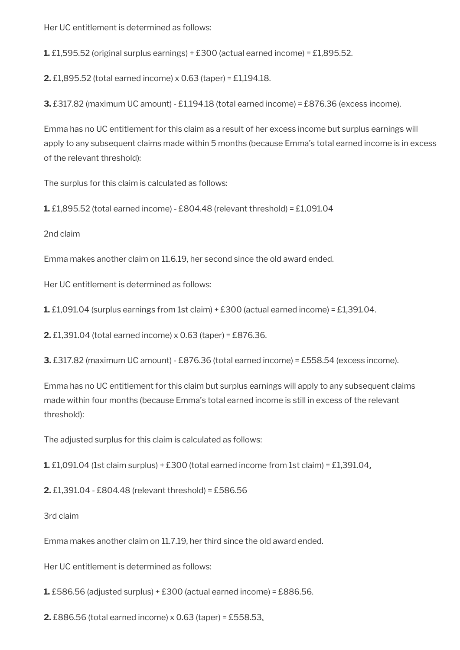Her UC entitlement is determined as follows:

**1.** £1,595.52 (original surplus earnings) + £300 (actual earned income) = £1,895.52.

**2.** £1,895.52 (total earned income) x 0.63 (taper) = £1,194.18.

**3.** £317.82 (maximum UC amount) - £1,194.18 (total earned income) = £876.36 (excess income).

Emma has no UC entitlement for this claim as a result of her excess income but surplus earnings will apply to any subsequent claims made within 5 months (because Emma's total earned income is in excess of the relevant threshold):

The surplus for this claim is calculated as follows:

**1.** £1,895.52 (total earned income) - £804.48 (relevant threshold) = £1,091.04

2nd claim

Emma makes another claim on 11.6.19, her second since the old award ended.

Her UC entitlement is determined as follows:

**1.** £1,091.04 (surplus earnings from 1st claim) + £300 (actual earned income) = £1,391.04.

**2.** £1,391.04 (total earned income) x 0.63 (taper) = £876.36.

**3.** £317.82 (maximum UC amount) - £876.36 (total earned income) = £558.54 (excess income).

Emma has no UC entitlement for this claim but surplus earnings will apply to any subsequent claims made within four months (because Emma's total earned income is still in excess of the relevant threshold):

The adjusted surplus for this claim is calculated as follows:

**1.** £1,091.04 (1st claim surplus) + £300 (total earned income from 1st claim) = £1,391.04.

**2.** £1,391.04 - £804.48 (relevant threshold) = £586.56

3rd claim

Emma makes another claim on 11.7.19, her third since the old award ended.

Her UC entitlement is determined as follows:

**1.** £586.56 (adjusted surplus) + £300 (actual earned income) = £886.56.

**2.** £886.56 (total earned income) x 0.63 (taper) = £558.53.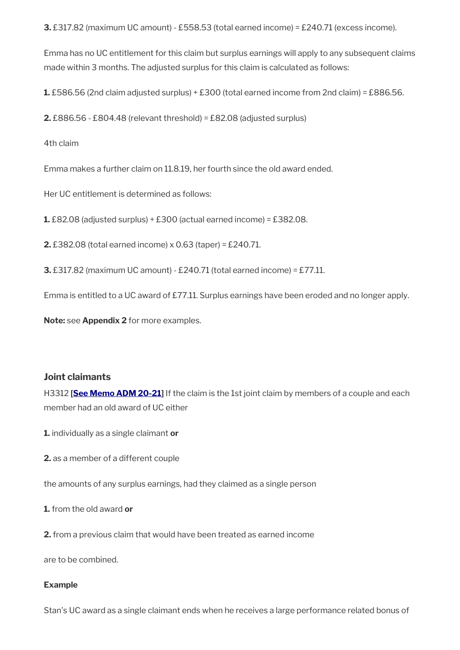**3.** £317.82 (maximum UC amount) - £558.53 (total earned income) = £240.71 (excess income).

Emma has no UC entitlement for this claim but surplus earnings will apply to any subsequent claims made within 3 months. The adjusted surplus for this claim is calculated as follows:

**1.** £586.56 (2nd claim adjusted surplus) + £300 (total earned income from 2nd claim) = £886.56.

**2.** £886.56 - £804.48 (relevant threshold) = £82.08 (adjusted surplus)

4th claim

Emma makes a further claim on 11.8.19, her fourth since the old award ended.

Her UC entitlement is determined as follows:

**1.** £82.08 (adjusted surplus) + £300 (actual earned income) = £382.08.

**2.** £382.08 (total earned income) x 0.63 (taper) = £240.71.

**3.** £317.82 (maximum UC amount) - £240.71 (total earned income) = £77.11.

Emma is entitled to a UC award of £77.11. Surplus earnings have been eroded and no longer apply.

**Note:** see **Appendix 2** for more examples.

#### **Joint claimants**

H3312 **[[See Memo ADM 20-21\]](https://intranet.dwp.gov.uk/manual/advice-decision-making-adm/2021-changes-taper-rate-and-work-allowance)** If the claim is the 1st joint claim by members of a couple and each member had an old award of UC either

- **1.** individually as a single claimant **or**
- **2.** as a member of a different couple

the amounts of any surplus earnings, had they claimed as a single person

**1.** from the old award **or**

**2.** from a previous claim that would have been treated as earned income

are to be combined.

#### **Example**

Stan's UC award as a single claimant ends when he receives a large performance related bonus of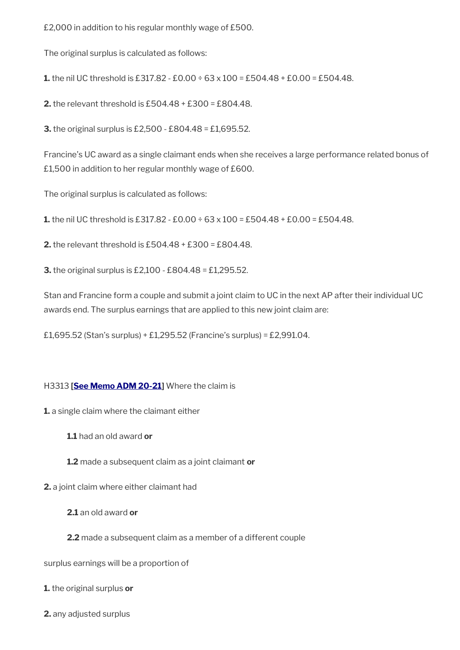£2,000 in addition to his regular monthly wage of £500.

The original surplus is calculated as follows:

**1.** the nil UC threshold is £317.82 - £0.00 ÷ 63 x 100 = £504.48 + £0.00 = £504.48.

**2.** the relevant threshold is £504.48 + £300 = £804.48.

**3.** the original surplus is £2,500 - £804.48 = £1,695.52.

Francine's UC award as a single claimant ends when she receives a large performance related bonus of £1,500 in addition to her regular monthly wage of £600.

The original surplus is calculated as follows:

**1.** the nil UC threshold is £317.82 - £0.00 ÷ 63 x 100 = £504.48 + £0.00 = £504.48.

**2.** the relevant threshold is £504.48 + £300 = £804.48.

**3.** the original surplus is £2,100 - £804.48 = £1,295.52.

Stan and Francine form a couple and submit a joint claim to UC in the next AP after their individual UC awards end. The surplus earnings that are applied to this new joint claim are:

£1,695.52 (Stan's surplus) + £1,295.52 (Francine's surplus) = £2,991.04.

#### H3313 **[\[See Memo ADM 20-21](https://intranet.dwp.gov.uk/manual/advice-decision-making-adm/2021-changes-taper-rate-and-work-allowance)]** Where the claim is

**1.** a single claim where the claimant either

**1.1** had an old award **or**

**1.2** made a subsequent claim as a joint claimant **or**

**2.** a joint claim where either claimant had

**2.1** an old award **or**

**2.2** made a subsequent claim as a member of a different couple

surplus earnings will be a proportion of

**1.** the original surplus **or** 

**2.** any adjusted surplus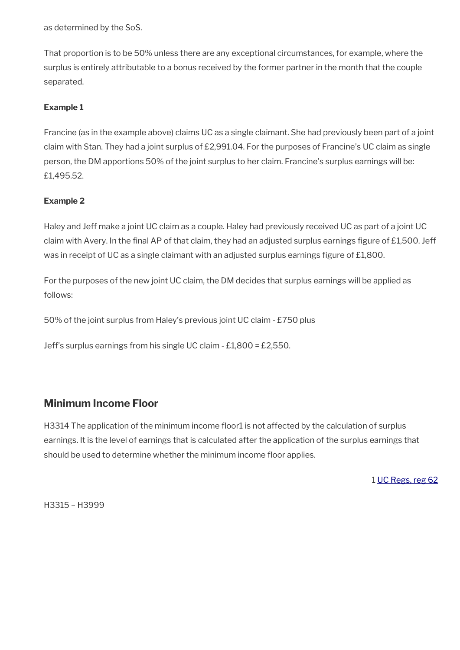as determined by the SoS.

That proportion is to be 50% unless there are any exceptional circumstances, for example, where the surplus is entirely attributable to a bonus received by the former partner in the month that the couple separated.

## **Example 1**

Francine (as in the example above) claims UC as a single claimant. She had previously been part of a joint claim with Stan. They had a joint surplus of £2,991.04. For the purposes of Francine's UC claim as single person, the DM apportions 50% of the joint surplus to her claim. Francine's surplus earnings will be: £1,495.52.

#### **Example 2**

Haley and Jeff make a joint UC claim as a couple. Haley had previously received UC as part of a joint UC claim with Avery. In the final AP of that claim, they had an adjusted surplus earnings figure of £1,500. Jeff was in receipt of UC as a single claimant with an adjusted surplus earnings figure of £1,800.

For the purposes of the new joint UC claim, the DM decides that surplus earnings will be applied as follows:

50% of the joint surplus from Haley's previous joint UC claim - £750 plus

Jeff's surplus earnings from his single UC claim - £1,800 = £2,550.

# <span id="page-60-0"></span>**Minimum Income Floor**

H3314 The application of the minimum income floor1 is not affected by the calculation of surplus earnings. It is the level of earnings that is calculated after the application of the surplus earnings that should be used to determine whether the minimum income floor applies.

1 [UC Regs, reg 62](http://www.legislation.gov.uk/uksi/2013/376/regulation/62)

H3315 – H3999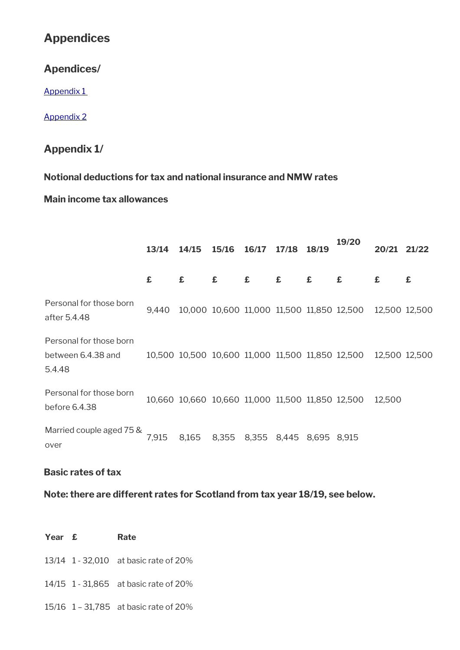# **Appendices**

# **Apendices/**

[Appendix 1](#page-61-0) 

[Appendix 2](#page-68-0)

# <span id="page-61-0"></span>**Appendix 1/**

## **Notional deductions for tax and national insurance and NMW rates**

## **Main income tax allowances**

|                                                         | 13/14 | 14/15                                            | 15/16 | 16/17                   | 17/18 | 18/19 | 19/20                                            | 20/21         | 21/22 |
|---------------------------------------------------------|-------|--------------------------------------------------|-------|-------------------------|-------|-------|--------------------------------------------------|---------------|-------|
|                                                         | £     | £                                                | £     | £                       | £     | £     | £                                                | £             | £     |
| Personal for those born<br>after 5.4.48                 | 9,440 |                                                  |       |                         |       |       | 10,000 10,600 11,000 11,500 11,850 12,500        | 12,500 12,500 |       |
| Personal for those born<br>between 6.4.38 and<br>5.4.48 |       |                                                  |       |                         |       |       | 10,500 10,500 10,600 11,000 11,500 11,850 12,500 | 12,500 12,500 |       |
| Personal for those born<br>before 6.4.38                |       | 10,660 10,660 10,660 11,000 11,500 11,850 12,500 |       |                         |       |       |                                                  | 12,500        |       |
| Married couple aged 75 &<br>over                        | 7,915 | 8.165                                            | 8,355 | 8,355 8,445 8,695 8,915 |       |       |                                                  |               |       |

## **Basic rates of tax**

#### **Note: there are different rates for Scotland from tax year 18/19, see below.**

- **Year £ Rate**
- 13/14 1 32,010 at basic rate of 20%
- 14/15 1 31,865 at basic rate of 20%
- 15/16 1 31,785 at basic rate of 20%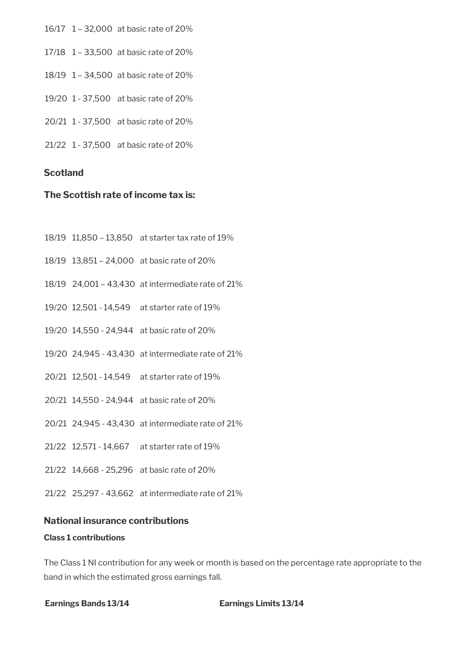- 16/17 1 32,000 at basic rate of 20%
- 17/18 1 33,500 at basic rate of 20%
- 18/19 1 34,500 at basic rate of 20%
- 19/20 1 37,500 at basic rate of 20%
- 20/21 1 37,500 at basic rate of 20%
- 21/22 1 37,500 at basic rate of 20%

#### **Scotland**

#### **The Scottish rate of income tax is:**

- 18/19 11,850 13,850 at starter tax rate of 19%
- 18/19 13,851 24,000 at basic rate of 20%
- 18/19 24,001 43,430 at intermediate rate of 21%
- 19/20 12,501 14,549 at starter rate of 19%
- 19/20 14,550 24,944 at basic rate of 20%
- 19/20 24,945 43,430 at intermediate rate of 21%
- 20/21 12,501 14,549 at starter rate of 19%
- 20/21 14,550 24,944 at basic rate of 20%
- 20/21 24,945 43,430 at intermediate rate of 21%
- 21/22 12,571 14,667 at starter rate of 19%
- 21/22 14,668 25,296 at basic rate of 20%
- 21/22 25,297 43,662 at intermediate rate of 21%

#### **National insurance contributions**

#### **Class 1 contributions**

The Class 1 NI contribution for any week or month is based on the percentage rate appropriate to the band in which the estimated gross earnings fall.

#### **Earnings Bands 13/14 Earnings Limits 13/14**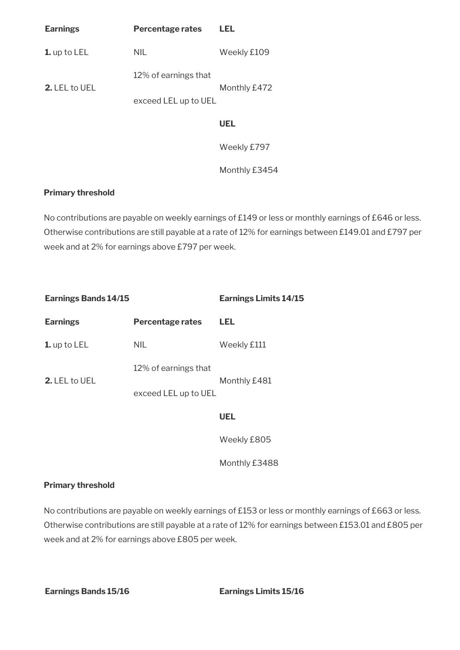| <b>Earnings</b> | <b>Percentage rates</b>                      | LEL          |
|-----------------|----------------------------------------------|--------------|
| $1.$ up to LEL  | <b>NIL</b>                                   | Weekly £109  |
| $2.1$ FL to UFL | 12% of earnings that<br>exceed LEL up to UEL | Monthly £472 |
|                 |                                              | <b>UEL</b>   |
|                 |                                              | Weekly £797  |

Monthly £3454

#### **Primary threshold**

No contributions are payable on weekly earnings of £149 or less or monthly earnings of £646 or less. Otherwise contributions are still payable at a rate of 12% for earnings between £149.01 and £797 per week and at 2% for earnings above £797 per week.

| <b>Earnings Bands 14/15</b> |                                              | <b>Earnings Limits 14/15</b> |
|-----------------------------|----------------------------------------------|------------------------------|
| <b>Earnings</b>             | <b>Percentage rates</b>                      | LEL                          |
| $1.$ up to LEL              | <b>NIL</b>                                   | Weekly £111                  |
| 2. LEL to UEL               | 12% of earnings that<br>exceed LEL up to UEL | Monthly £481                 |
|                             |                                              | <b>UEL</b>                   |
|                             |                                              | Weekly £805                  |
|                             |                                              | Monthly £3488                |

#### **Primary threshold**

No contributions are payable on weekly earnings of £153 or less or monthly earnings of £663 or less. Otherwise contributions are still payable at a rate of 12% for earnings between £153.01 and £805 per week and at 2% for earnings above £805 per week.

**Earnings Bands 15/16 Earnings Limits 15/16**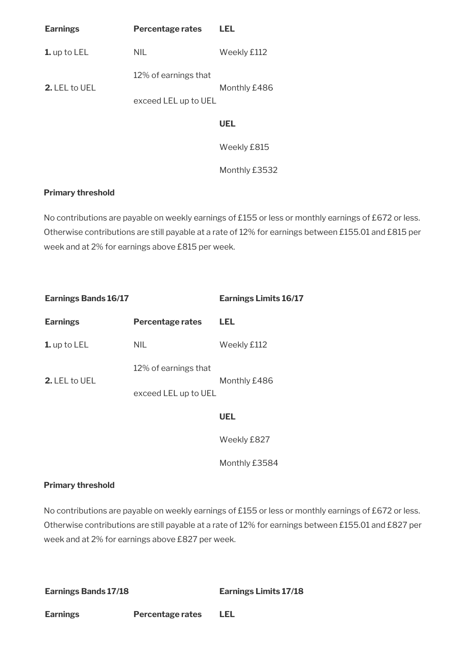| <b>Earnings</b> | <b>Percentage rates</b>                      | LEL          |
|-----------------|----------------------------------------------|--------------|
| $1.$ up to LEL  | <b>NIL</b>                                   | Weekly £112  |
| 2. LEL to UEL   | 12% of earnings that<br>exceed LEL up to UEL | Monthly £486 |
|                 |                                              | UEL          |
|                 |                                              | Weekly £815  |

Monthly £3532

#### **Primary threshold**

No contributions are payable on weekly earnings of £155 or less or monthly earnings of £672 or less. Otherwise contributions are still payable at a rate of 12% for earnings between £155.01 and £815 per week and at 2% for earnings above £815 per week.

| <b>Earnings Bands 16/17</b> |                                              | <b>Earnings Limits 16/17</b> |
|-----------------------------|----------------------------------------------|------------------------------|
| <b>Earnings</b>             | <b>Percentage rates</b>                      | LEL                          |
| 1. up to $LEL$              | <b>NIL</b>                                   | Weekly £112                  |
| 2. LEL to UEL               | 12% of earnings that<br>exceed LEL up to UEL | Monthly £486                 |
|                             |                                              | <b>UEL</b>                   |
|                             |                                              | Weekly £827                  |
|                             |                                              | Monthly £3584                |

#### **Primary threshold**

No contributions are payable on weekly earnings of £155 or less or monthly earnings of £672 or less. Otherwise contributions are still payable at a rate of 12% for earnings between £155.01 and £827 per week and at 2% for earnings above £827 per week.

**Earnings Bands 17/18 Earnings Limits 17/18**

**Earnings Percentage rates LEL**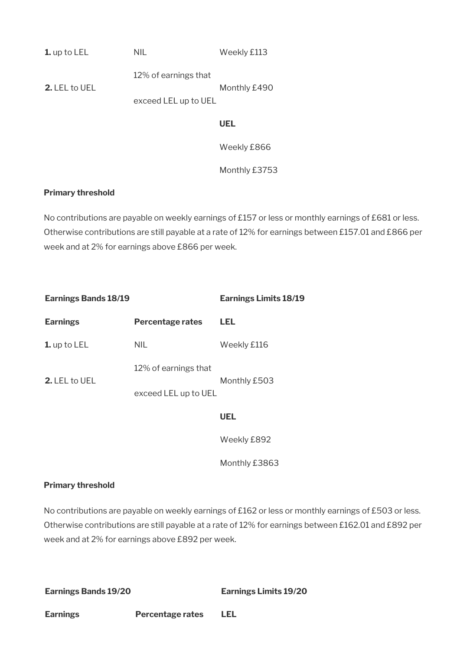| $2.$ LEL to UEL | 12% of earnings that<br>exceed LEL up to UEL | Monthly £490 |
|-----------------|----------------------------------------------|--------------|
| 1. up to $LEL$  | <b>NIL</b>                                   | Weekly £113  |

**UEL**

Weekly £866

Monthly £3753

#### **Primary threshold**

No contributions are payable on weekly earnings of £157 or less or monthly earnings of £681 or less. Otherwise contributions are still payable at a rate of 12% for earnings between £157.01 and £866 per week and at 2% for earnings above £866 per week.

| <b>Earnings Bands 18/19</b> |                                              | <b>Earnings Limits 18/19</b> |
|-----------------------------|----------------------------------------------|------------------------------|
| <b>Earnings</b>             | <b>Percentage rates</b>                      | LEL                          |
| $1.$ up to LEL              | <b>NIL</b>                                   | Weekly £116                  |
| 2. LEL to UEL               | 12% of earnings that<br>exceed LEL up to UEL | Monthly £503                 |
|                             |                                              | <b>UEL</b>                   |
|                             |                                              | Weekly £892                  |
|                             |                                              | Monthly £3863                |

#### **Primary threshold**

No contributions are payable on weekly earnings of £162 or less or monthly earnings of £503 or less. Otherwise contributions are still payable at a rate of 12% for earnings between £162.01 and £892 per week and at 2% for earnings above £892 per week.

**Earnings Bands 19/20 Earnings Limits 19/20**

**Earnings Percentage rates LEL**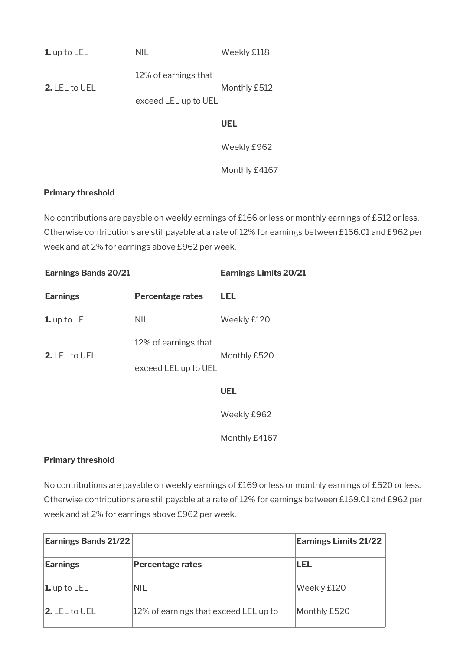# **1.** up to LEL NIL Weekly £118 **2.** LEL to UEL 12% of earnings that exceed LEL up to UEL Monthly £512

**UEL**

Weekly £962

Monthly £4167

#### **Primary threshold**

No contributions are payable on weekly earnings of £166 or less or monthly earnings of £512 or less. Otherwise contributions are still payable at a rate of 12% for earnings between £166.01 and £962 per week and at 2% for earnings above £962 per week.

| <b>Earnings Bands 20/21</b> |                         | <b>Earnings Limits 20/21</b> |
|-----------------------------|-------------------------|------------------------------|
| <b>Earnings</b>             | <b>Percentage rates</b> | LEL                          |
| $1.$ up to LEL              | <b>NIL</b>              | Weekly £120                  |
|                             | 12% of earnings that    |                              |
| 2. LEL to UEL               | exceed LEL up to UEL    | Monthly £520                 |
|                             |                         | <b>UEL</b>                   |
|                             |                         | Weekly £962                  |

Monthly £4167

#### **Primary threshold**

No contributions are payable on weekly earnings of £169 or less or monthly earnings of £520 or less. Otherwise contributions are still payable at a rate of 12% for earnings between £169.01 and £962 per week and at 2% for earnings above £962 per week.

| <b>Earnings Bands 21/22</b> |                                       | <b>Earnings Limits 21/22</b> |
|-----------------------------|---------------------------------------|------------------------------|
| <b>Earnings</b>             | <b>Percentage rates</b>               | LEL                          |
| $ 1.$ up to LEL             | <b>NIL</b>                            | Weekly £120                  |
| $ 2.$ LEL to UEL            | 12% of earnings that exceed LEL up to | Monthly £520                 |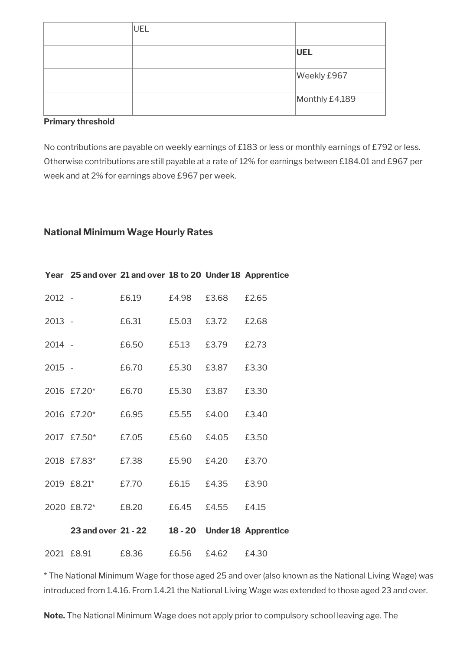| UEL |                |
|-----|----------------|
|     | <b>UEL</b>     |
|     | Weekly £967    |
|     | Monthly £4,189 |

#### **Primary threshold**

No contributions are payable on weekly earnings of £183 or less or monthly earnings of £792 or less. Otherwise contributions are still payable at a rate of 12% for earnings between £184.01 and £967 per week and at 2% for earnings above £967 per week.

#### **National Minimum Wage Hourly Rates**

|          | Year 25 and over 21 and over 18 to 20 Under 18 Apprentice |       |       |             |                             |
|----------|-----------------------------------------------------------|-------|-------|-------------|-----------------------------|
| $2012 -$ |                                                           | £6.19 | £4.98 | £3.68       | £2.65                       |
| $2013 -$ |                                                           | £6.31 | £5.03 | £3.72       | £2.68                       |
| $2014 -$ |                                                           | £6.50 | £5.13 | £3.79       | £2.73                       |
| $2015 -$ |                                                           | £6.70 | £5.30 | £3.87       | £3.30                       |
|          | 2016 £7.20*                                               | £6.70 | £5.30 | £3.87       | £3.30                       |
|          | 2016 £7.20*                                               | £6.95 | £5.55 | £4.00       | £3.40                       |
|          | 2017 £7.50*                                               | £7.05 | £5.60 | £4.05       | £3.50                       |
|          | 2018 £7.83*                                               | £7.38 | £5.90 | £4.20       | £3.70                       |
|          | 2019 £8.21*                                               | £7.70 | £6.15 | £4.35       | £3.90                       |
|          | 2020 £8.72*                                               | £8.20 |       | £6.45 £4.55 | £4.15                       |
|          | 23 and over 21 - 22                                       |       |       |             | 18 - 20 Under 18 Apprentice |
|          | 2021 £8.91                                                | £8.36 | £6.56 | £4.62       | £4.30                       |

\* The National Minimum Wage for those aged 25 and over (also known as the National Living Wage) was introduced from 1.4.16. From 1.4.21 the National Living Wage was extended to those aged 23 and over.

**Note.** The National Minimum Wage does not apply prior to compulsory school leaving age. The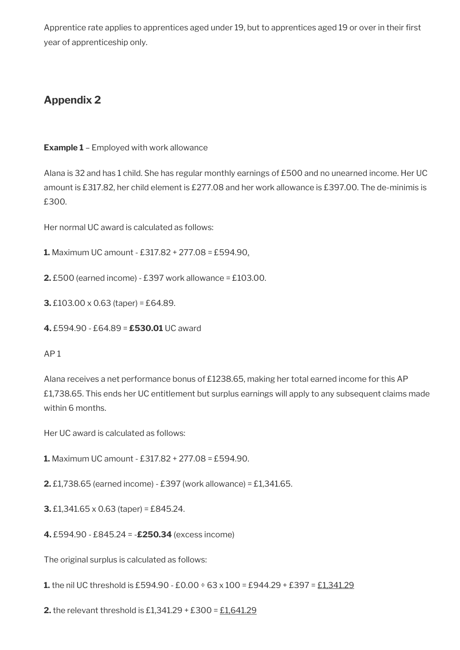Apprentice rate applies to apprentices aged under 19, but to apprentices aged 19 or over in their first year of apprenticeship only.

# <span id="page-68-0"></span>**Appendix 2**

#### **Example 1** – Employed with work allowance

Alana is 32 and has 1 child. She has regular monthly earnings of £500 and no unearned income. Her UC amount is £317.82, her child element is £277.08 and her work allowance is £397.00. The de-minimis is £300.

Her normal UC award is calculated as follows:

**1.** Maximum UC amount - £317.82 + 277.08 = £594.90.

**2.** £500 (earned income) - £397 work allowance = £103.00.

**3.** £103.00 x 0.63 (taper) = £64.89.

**4.** £594.90 - £64.89 = **£530.01** UC award

#### AP 1

Alana receives a net performance bonus of £1238.65, making her total earned income for this AP £1,738.65. This ends her UC entitlement but surplus earnings will apply to any subsequent claims made within 6 months.

Her UC award is calculated as follows:

**1.** Maximum UC amount - £317.82 + 277.08 = £594.90.

**2.** £1,738.65 (earned income) - £397 (work allowance) = £1,341.65.

**3.** £1,341.65 x 0.63 (taper) = £845.24.

**4.** £594.90 - £845.24 = -**£250.34** (excess income)

The original surplus is calculated as follows:

**1.** the nil UC threshold is £594.90 - £0.00 ÷ 63 x 100 = £944.29 + £397 = £1,341.29

**2.** the relevant threshold is £1,341.29 + £300 = £1,641.29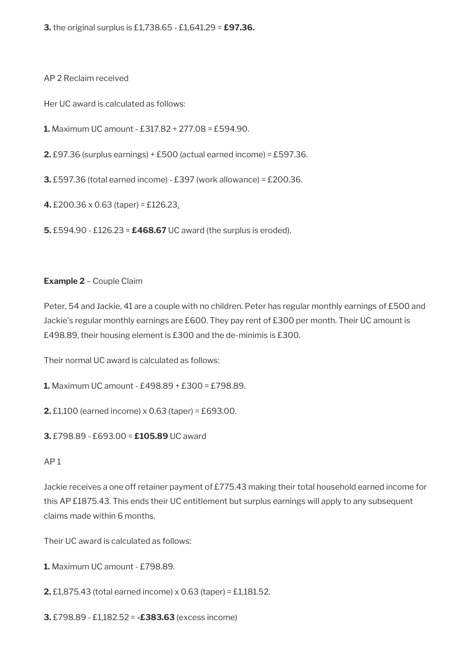**3.** the original surplus is £1,738.65 - £1,641.29 = **£97.36.**

AP 2 Reclaim received

Her UC award is calculated as follows:

**1.** Maximum UC amount - £317.82 + 277.08 = £594.90.

**2.** £97.36 (surplus earnings) + £500 (actual earned income) = £597.36.

**3.** £597.36 (total earned income) - £397 (work allowance) = £200.36.

**4.** £200.36 x 0.63 (taper) = £126.23.

**5.** £594.90 - £126.23 = **£468.67** UC award (the surplus is eroded).

#### **Example 2** – Couple Claim

Peter, 54 and Jackie, 41 are a couple with no children. Peter has regular monthly earnings of £500 and Jackie's regular monthly earnings are £600. They pay rent of £300 per month. Their UC amount is £498.89, their housing element is £300 and the de-minimis is £300.

Their normal UC award is calculated as follows:

**1.** Maximum UC amount - £498.89 + £300 = £798.89.

**2.** £1,100 (earned income) x 0.63 (taper) = £693.00.

**3.** £798.89 - £693.00 = **£105.89** UC award

#### AP 1

Jackie receives a one off retainer payment of £775.43 making their total household earned income for this AP £1875.43. This ends their UC entitlement but surplus earnings will apply to any subsequent claims made within 6 months.

Their UC award is calculated as follows:

**1.** Maximum UC amount - £798.89.

**2.** £1,875.43 (total earned income) x 0.63 (taper) = £1,181.52.

**3.** £798.89 - £1,182.52 = **-£383.63** (excess income)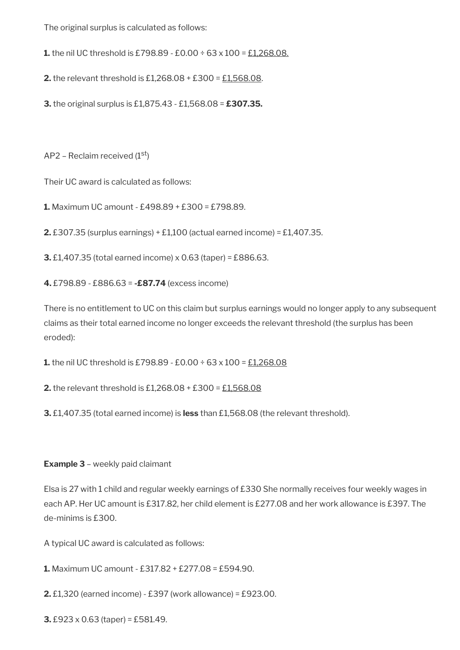The original surplus is calculated as follows:

**1.** the nil UC threshold is £798.89 - £0.00 ÷ 63 x 100 = £1,268.08.

**2.** the relevant threshold is £1,268.08 + £300 = £1,568.08.

**3.** the original surplus is £1,875.43 - £1,568.08 = **£307.35.**

 $AP2$  – Reclaim received  $(1<sup>st</sup>)$ 

Their UC award is calculated as follows:

**1.** Maximum UC amount - £498.89 + £300 = £798.89.

**2.** £307.35 (surplus earnings) + £1,100 (actual earned income) = £1,407.35.

**3.** £1,407.35 (total earned income) x 0.63 (taper) = £886.63.

**4.** £798.89 - £886.63 = **-£87.74** (excess income)

There is no entitlement to UC on this claim but surplus earnings would no longer apply to any subsequent claims as their total earned income no longer exceeds the relevant threshold (the surplus has been eroded):

**1.** the nil UC threshold is £798.89 - £0.00 ÷ 63 x 100 = £1,268.08

**2.** the relevant threshold is £1,268.08 + £300 = £1,568.08

**3.** £1,407.35 (total earned income) is **less** than £1,568.08 (the relevant threshold).

#### **Example 3** – weekly paid claimant

Elsa is 27 with 1 child and regular weekly earnings of £330 She normally receives four weekly wages in each AP. Her UC amount is £317.82, her child element is £277.08 and her work allowance is £397. The de-minims is £300.

A typical UC award is calculated as follows:

**1.** Maximum UC amount - £317.82 + £277.08 = £594.90.

**2.** £1,320 (earned income) - £397 (work allowance) = £923.00.

**3.** £923 x 0.63 (taper) = £581.49.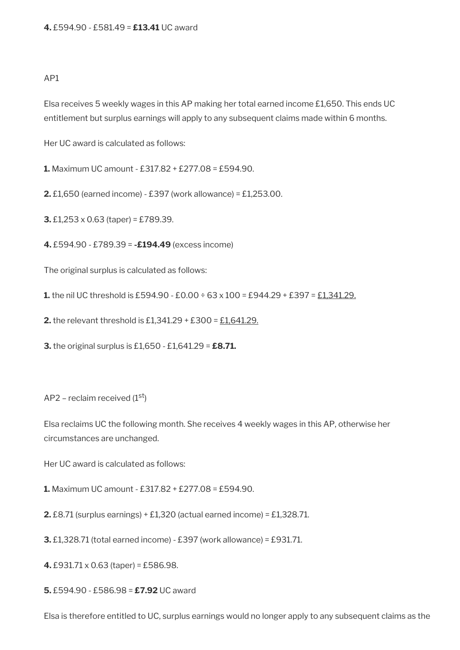#### AP1

Elsa receives 5 weekly wages in this AP making her total earned income £1,650. This ends UC entitlement but surplus earnings will apply to any subsequent claims made within 6 months.

Her UC award is calculated as follows:

**1.** Maximum UC amount - £317.82 + £277.08 = £594.90.

**2.** £1,650 (earned income) - £397 (work allowance) = £1,253.00.

**3.** £1,253 x 0.63 (taper) = £789.39.

**4.** £594.90 - £789.39 = **-£194.49** (excess income)

The original surplus is calculated as follows:

**1.** the nil UC threshold is £594.90 - £0.00 ÷ 63 x 100 = £944.29 + £397 = £1,341.29.

**2.** the relevant threshold is £1,341.29 + £300 = £1,641.29.

**3.** the original surplus is £1,650 - £1,641.29 = **£8.71.**

#### $AP2$  – reclaim received  $(1<sup>st</sup>)$

Elsa reclaims UC the following month. She receives 4 weekly wages in this AP, otherwise her circumstances are unchanged.

Her UC award is calculated as follows:

**1.** Maximum UC amount - £317.82 + £277.08 = £594.90.

**2.** £8.71 (surplus earnings) + £1,320 (actual earned income) = £1,328.71.

**3.** £1,328.71 (total earned income) - £397 (work allowance) = £931.71.

**4.** £931.71 x 0.63 (taper) = £586.98.

**5.** £594.90 - £586.98 = **£7.92** UC award

Elsa is therefore entitled to UC, surplus earnings would no longer apply to any subsequent claims as the